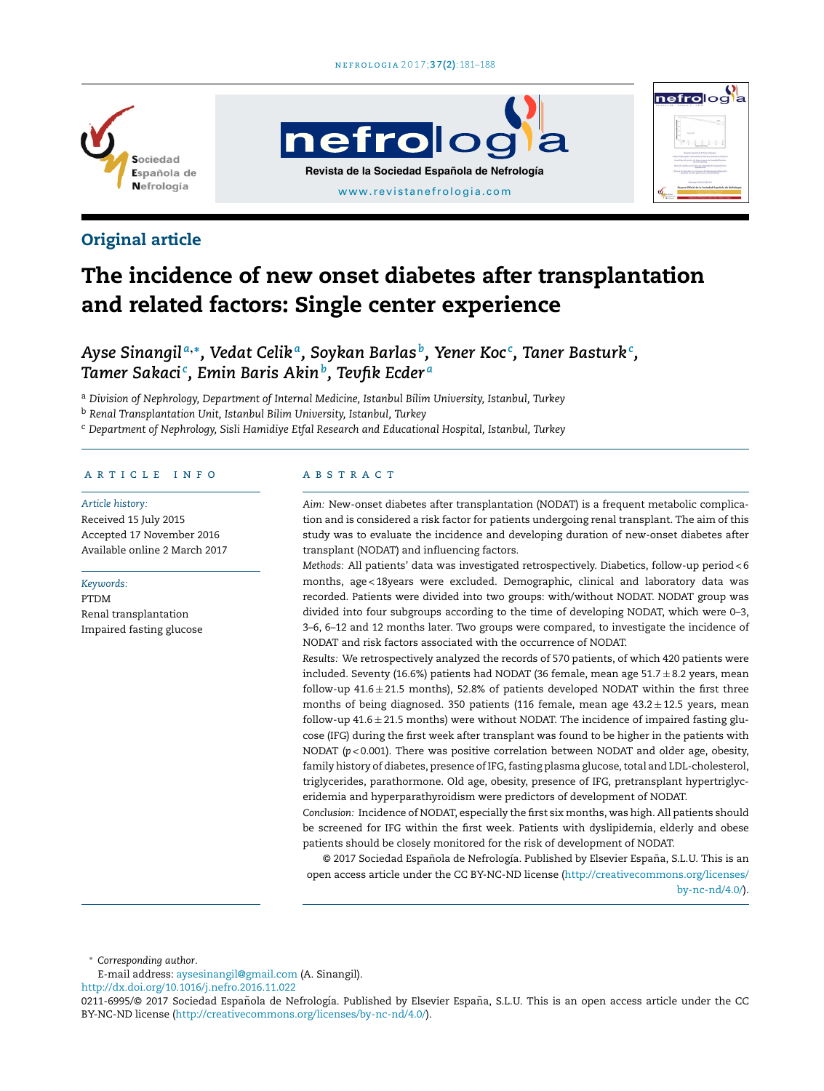

# **nefrolog Revista de la Sociedad Española de Nefrología** [www.revistanefrologia.com](http://www.revistanefrologia.com)



# The incidence of new onset diabetes after transplantation and related factors: Single center experience

*Ayse Sinangil <sup>a</sup>*,<sup>∗</sup> *, Vedat Celik <sup>a</sup> , Soykan Barlas <sup>b</sup> , Yener Koc <sup>c</sup> , Taner Basturk<sup>c</sup> , Tamer Sakaci <sup>c</sup> , Emin Baris Akin<sup>b</sup> , Tevfik Ecder <sup>a</sup>*

<sup>a</sup> *Division of Nephrology, Department of Internal Medicine, Istanbul Bilim University, Istanbul, Turkey*

<sup>b</sup> *Renal Transplantation Unit, Istanbul Bilim University, Istanbul, Turkey*

<sup>c</sup> *Department of Nephrology, Sisli Hamidiye Etfal Research and Educational Hospital, Istanbul, Turkey*

## a r t i c l e i n f o

*Article history:* Received 15 July 2015 Accepted 17 November 2016 Available online 2 March 2017

#### *Keywords:*

PTDM Renal transplantation Impaired fasting glucose

## A B S T R A C T

*Aim:* New-onset diabetes after transplantation (NODAT) is a frequent metabolic complication and is considered a risk factor for patients undergoing renal transplant. The aim of this study was to evaluate the incidence and developing duration of new-onset diabetes after transplant (NODAT) and influencing factors.

nefrolog

*Methods:* All patients' data was investigated retrospectively. Diabetics, follow-up period < 6 months, age < 18years were excluded. Demographic, clinical and laboratory data was recorded. Patients were divided into two groups: with/without NODAT. NODAT group was divided into four subgroups according to the time of developing NODAT, which were 0–3, 3–6, 6–12 and 12 months later. Two groups were compared, to investigate the incidence of NODAT and risk factors associated with the occurrence of NODAT.

*Results:* We retrospectively analyzed the records of 570 patients, of which 420 patients were included. Seventy (16.6%) patients had NODAT (36 female, mean age  $51.7 \pm 8.2$  years, mean follow-up  $41.6 \pm 21.5$  months), 52.8% of patients developed NODAT within the first three months of being diagnosed. 350 patients (116 female, mean age  $43.2 \pm 12.5$  years, mean follow-up  $41.6 \pm 21.5$  months) were without NODAT. The incidence of impaired fasting glucose (IFG) during the first week after transplant was found to be higher in the patients with NODAT (*p* < 0.001). There was positive correlation between NODAT and older age, obesity, family history of diabetes, presence of IFG, fasting plasma glucose, total and LDL-cholesterol, triglycerides, parathormone. Old age, obesity, presence of IFG, pretransplant hypertriglyceridemia and hyperparathyroidism were predictors of development of NODAT.

*Conclusion:* Incidence of NODAT, especially the first six months, was high. All patients should be screened for IFG within the first week. Patients with dyslipidemia, elderly and obese patients should be closely monitored for the risk of development of NODAT.

© 2017 Sociedad Española de Nefrología. Published by Elsevier España, S.L.U. This is an open access article under the CC BY-NC-ND license [\(http://creativecommons.org/licenses/](http://creativecommons.org/licenses/by-nc-nd/4.0/) [by-nc-nd/4.0/\)](http://creativecommons.org/licenses/by-nc-nd/4.0/).

<sup>∗</sup> *Corresponding author*.

E-mail address: [aysesinangil@gmail.com](mailto:aysesinangil@gmail.com) (A. Sinangil).

[http://dx.doi.org/10.1016/j.nefro.2016.11.022](dx.doi.org/10.1016/j.nefro.2016.11.022)

<sup>0211-6995/© 2017</sup> Sociedad Española de Nefrología. Published by Elsevier España, S.L.U. This is an open access article under the CC BY-NC-ND license (<http://creativecommons.org/licenses/by-nc-nd/4.0/>).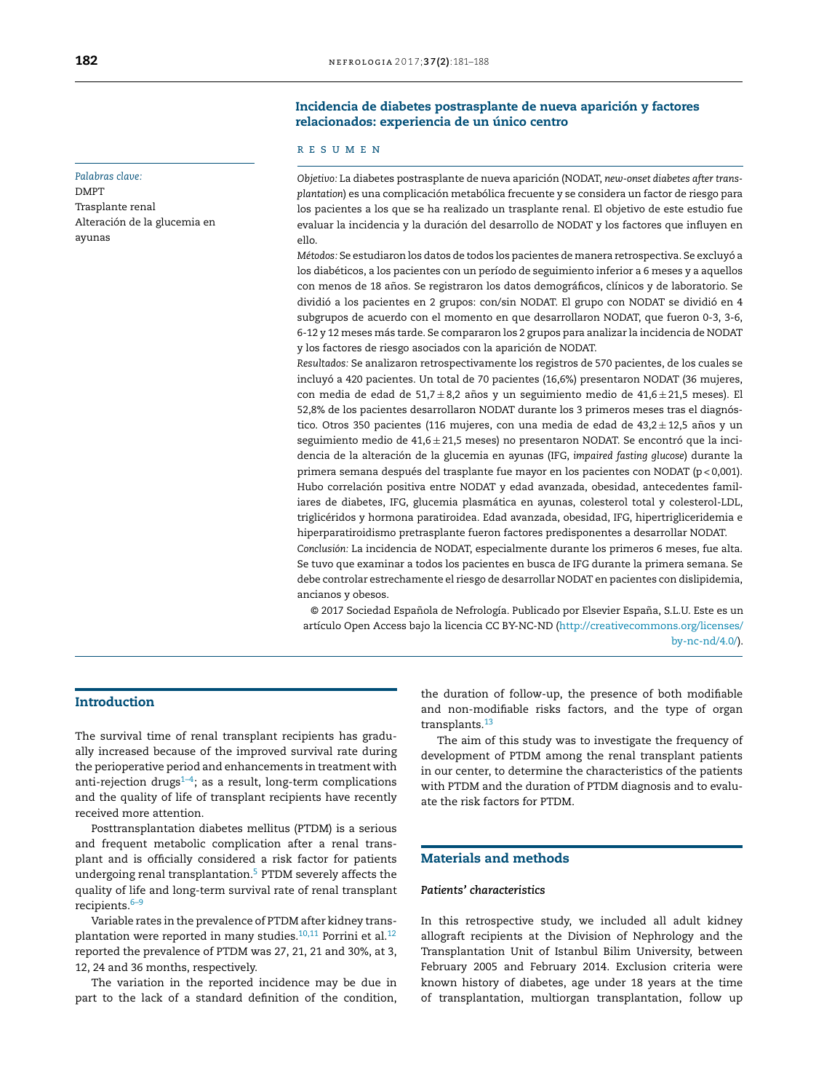### *Palabras clave:*

DMPT Trasplante renal Alteración de la glucemia en ayunas

## Incidencia de diabetes postrasplante de nueva aparición y factores relacionados: experiencia de un único centro

### r e s u m e n

*Objetivo:* La diabetes postrasplante de nueva aparición (NODAT, *new-onset diabetes after transplantation*) es una complicación metabólica frecuente y se considera un factor de riesgo para los pacientes a los que se ha realizado un trasplante renal. El objetivo de este estudio fue evaluar la incidencia y la duración del desarrollo de NODAT y los factores que influyen en ello.

*Métodos:* Se estudiaron los datos de todos los pacientes de manera retrospectiva. Se excluyó a los diabéticos, a los pacientes con un período de seguimiento inferior a 6 meses y a aquellos con menos de 18 años. Se registraron los datos demográficos, clínicos y de laboratorio. Se dividió a los pacientes en 2 grupos: con/sin NODAT. El grupo con NODAT se dividió en 4 subgrupos de acuerdo con el momento en que desarrollaron NODAT, que fueron 0-3, 3-6, 6-12 y 12 meses más tarde. Se compararon los 2 grupos para analizar la incidencia de NODAT y los factores de riesgo asociados con la aparición de NODAT.

*Resultados:* Se analizaron retrospectivamente los registros de 570 pacientes, de los cuales se incluyó a 420 pacientes. Un total de 70 pacientes (16,6%) presentaron NODAT (36 mujeres, con media de edad de 51,7 $\pm$ 8,2 años y un seguimiento medio de 41,6 $\pm$ 21,5 meses). El 52,8% de los pacientes desarrollaron NODAT durante los 3 primeros meses tras el diagnóstico. Otros 350 pacientes (116 mujeres, con una media de edad de 43,2 $\pm$ 12,5 años y un seguimiento medio de 41,6  $\pm$  21,5 meses) no presentaron NODAT. Se encontró que la incidencia de la alteración de la glucemia en ayunas (IFG, *impaired fasting glucose*) durante la primera semana después del trasplante fue mayor en los pacientes con NODAT (p < 0,001). Hubo correlación positiva entre NODAT y edad avanzada, obesidad, antecedentes familiares de diabetes, IFG, glucemia plasmática en ayunas, colesterol total y colesterol-LDL, triglicéridos y hormona paratiroidea. Edad avanzada, obesidad, IFG, hipertrigliceridemia e hiperparatiroidismo pretrasplante fueron factores predisponentes a desarrollar NODAT. *Conclusión:* La incidencia de NODAT, especialmente durante los primeros 6 meses, fue alta.

Se tuvo que examinar a todos los pacientes en busca de IFG durante la primera semana. Se debe controlar estrechamente el riesgo de desarrollar NODAT en pacientes con dislipidemia, ancianos y obesos.

© 2017 Sociedad Española de Nefrología. Publicado por Elsevier España, S.L.U. Este es un artículo Open Access bajo la licencia CC BY-NC-ND [\(http://creativecommons.org/licenses/](http://creativecommons.org/licenses/by-nc-nd/4.0/) [by-nc-nd/4.0/\)](http://creativecommons.org/licenses/by-nc-nd/4.0/).

# Introduction

The survival time of renal transplant recipients has gradually increased because of the improved survival rate during the perioperative period and enhancements in treatment with anti-rejection drugs<sup> $1-4$ </sup>; as a result, long-term complications and the quality of life of transplant recipients have recently received more attention.

Posttransplantation diabetes mellitus (PTDM) is a serious and frequent metabolic complication after a renal transplant and is officially considered a risk factor for patients undergoing renal transplantation.[5](#page-5-0) PTDM severely affects the quality of life and long-term survival rate of renal transplant recipients.[6–9](#page-5-0)

Variable rates in the prevalence of PTDM after kidney transplantation were reported in many studies. $10,11$  Porrini et al. $12$ reported the prevalence of PTDM was 27, 21, 21 and 30%, at 3, 12, 24 and 36 months, respectively.

The variation in the reported incidence may be due in part to the lack of a standard definition of the condition, the duration of follow-up, the presence of both modifiable and non-modifiable risks factors, and the type of organ transplants.<sup>[13](#page-6-0)</sup>

The aim of this study was to investigate the frequency of development of PTDM among the renal transplant patients in our center, to determine the characteristics of the patients with PTDM and the duration of PTDM diagnosis and to evaluate the risk factors for PTDM.

## Materials and methods

#### *Patients' characteristics*

In this retrospective study, we included all adult kidney allograft recipients at the Division of Nephrology and the Transplantation Unit of Istanbul Bilim University, between February 2005 and February 2014. Exclusion criteria were known history of diabetes, age under 18 years at the time of transplantation, multiorgan transplantation, follow up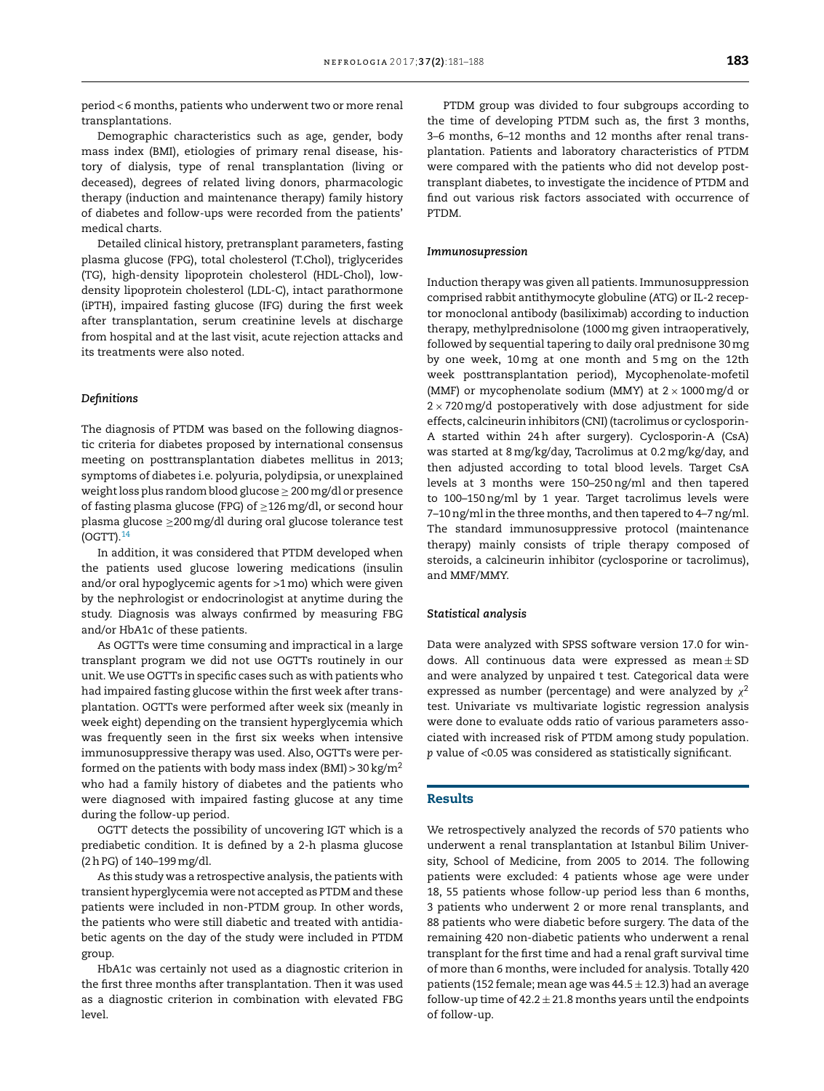Demographic characteristics such as age, gender, body mass index (BMI), etiologies of primary renal disease, history of dialysis, type of renal transplantation (living or deceased), degrees of related living donors, pharmacologic therapy (induction and maintenance therapy) family history of diabetes and follow-ups were recorded from the patients' medical charts.

Detailed clinical history, pretransplant parameters, fasting plasma glucose (FPG), total cholesterol (T.Chol), triglycerides (TG), high-density lipoprotein cholesterol (HDL-Chol), lowdensity lipoprotein cholesterol (LDL-C), intact parathormone (iPTH), impaired fasting glucose (IFG) during the first week after transplantation, serum creatinine levels at discharge from hospital and at the last visit, acute rejection attacks and its treatments were also noted.

## *Definitions*

The diagnosis of PTDM was based on the following diagnostic criteria for diabetes proposed by international consensus meeting on posttransplantation diabetes mellitus in 2013; symptoms of diabetes i.e. polyuria, polydipsia, or unexplained weight loss plus random blood glucose  $\geq 200$  mg/dl or presence of fasting plasma glucose (FPG) of ≥126mg/dl, or second hour plasma glucose ≥200mg/dl during oral glucose tolerance test  $($ OGTT $)$ . $^{14}$  $^{14}$  $^{14}$ 

In addition, it was considered that PTDM developed when the patients used glucose lowering medications (insulin and/or oral hypoglycemic agents for >1mo) which were given by the nephrologist or endocrinologist at anytime during the study. Diagnosis was always confirmed by measuring FBG and/or HbA1c of these patients.

As OGTTs were time consuming and impractical in a large transplant program we did not use OGTTs routinely in our unit. We use OGTTs in specific cases such as with patients who had impaired fasting glucose within the first week after transplantation. OGTTs were performed after week six (meanly in week eight) depending on the transient hyperglycemia which was frequently seen in the first six weeks when intensive immunosuppressive therapy was used. Also, OGTTs were performed on the patients with body mass index (BMI)  $>$  30 kg/m<sup>2</sup> who had a family history of diabetes and the patients who were diagnosed with impaired fasting glucose at any time during the follow-up period.

OGTT detects the possibility of uncovering IGT which is a prediabetic condition. It is defined by a 2-h plasma glucose (2hPG) of 140–199mg/dl.

As this study was a retrospective analysis, the patients with transient hyperglycemia were not accepted as PTDM and these patients were included in non-PTDM group. In other words, the patients who were still diabetic and treated with antidiabetic agents on the day of the study were included in PTDM group.

HbA1c was certainly not used as a diagnostic criterion in the first three months after transplantation. Then it was used as a diagnostic criterion in combination with elevated FBG level.

PTDM group was divided to four subgroups according to the time of developing PTDM such as, the first 3 months, 3–6 months, 6–12 months and 12 months after renal transplantation. Patients and laboratory characteristics of PTDM were compared with the patients who did not develop posttransplant diabetes, to investigate the incidence of PTDM and find out various risk factors associated with occurrence of PTDM.

#### *Immunosupression*

Induction therapy was given all patients. Immunosuppression comprised rabbit antithymocyte globuline (ATG) or IL-2 receptor monoclonal antibody (basiliximab) according to induction therapy, methylprednisolone (1000mg given intraoperatively, followed by sequential tapering to daily oral prednisone 30mg by one week, 10mg at one month and 5mg on the 12th week posttransplantation period), Mycophenolate-mofetil (MMF) or mycophenolate sodium (MMY) at  $2 \times 1000$  mg/d or  $2 \times 720$  mg/d postoperatively with dose adjustment for side effects, calcineurin inhibitors (CNI) (tacrolimus or cyclosporin-A started within 24h after surgery). Cyclosporin-A (CsA) was started at 8 mg/kg/day, Tacrolimus at 0.2mg/kg/day, and then adjusted according to total blood levels. Target CsA levels at 3 months were 150–250ng/ml and then tapered to 100–150ng/ml by 1 year. Target tacrolimus levels were 7-10 ng/ml in the three months, and then tapered to 4-7 ng/ml. The standard immunosuppressive protocol (maintenance therapy) mainly consists of triple therapy composed of steroids, a calcineurin inhibitor (cyclosporine or tacrolimus), and MMF/MMY.

#### *Statistical analysis*

Data were analyzed with SPSS software version 17.0 for windows. All continuous data were expressed as  $mean \pm SD$ and were analyzed by unpaired t test. Categorical data were expressed as number (percentage) and were analyzed by  $\chi^2$ test. Univariate vs multivariate logistic regression analysis were done to evaluate odds ratio of various parameters associated with increased risk of PTDM among study population. *p* value of <0.05 was considered as statistically significant.

## Results

We retrospectively analyzed the records of 570 patients who underwent a renal transplantation at Istanbul Bilim University, School of Medicine, from 2005 to 2014. The following patients were excluded: 4 patients whose age were under 18, 55 patients whose follow-up period less than 6 months, 3 patients who underwent 2 or more renal transplants, and 88 patients who were diabetic before surgery. The data of the remaining 420 non-diabetic patients who underwent a renal transplant for the first time and had a renal graft survival time of more than 6 months, were included for analysis. Totally 420 patients (152 female; mean age was  $44.5 \pm 12.3$ ) had an average follow-up time of 42.2  $\pm$  21.8 months years until the endpoints of follow-up.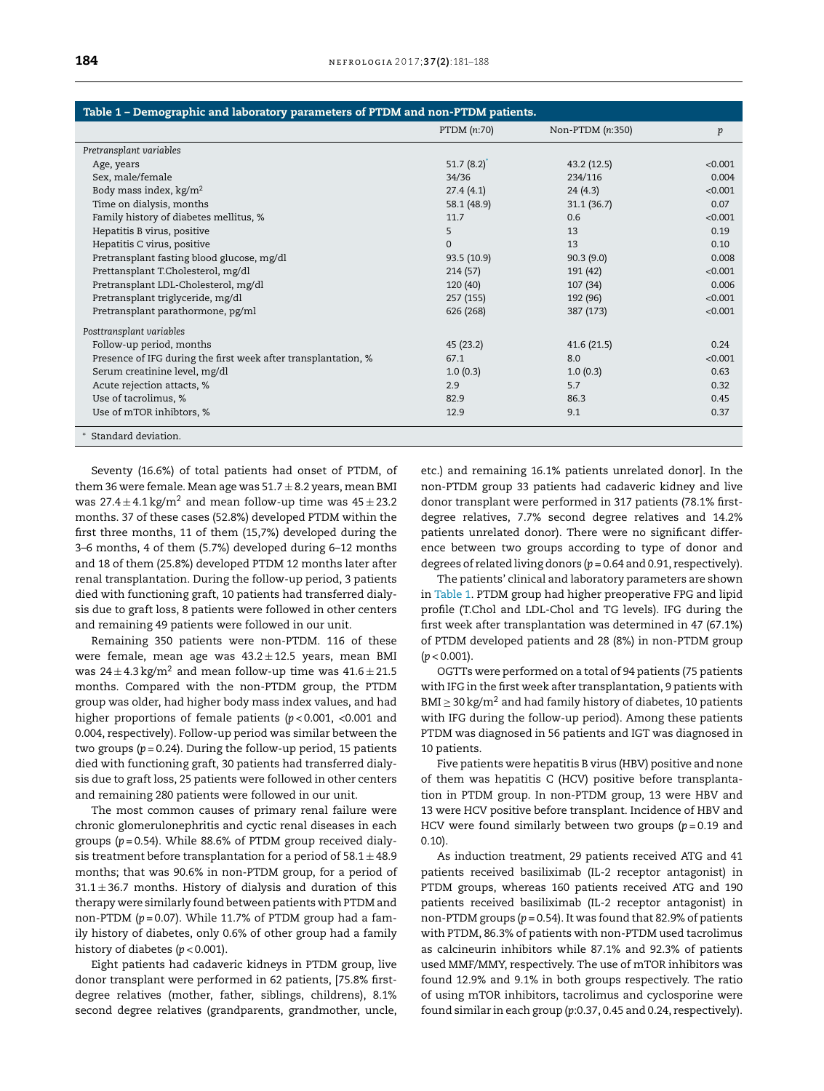| Table 1 - Demographic and laboratory parameters of PTDM and non-PTDM patients. |                           |                  |         |
|--------------------------------------------------------------------------------|---------------------------|------------------|---------|
|                                                                                | PTDM (n:70)               | Non-PTDM (n:350) | p       |
| Pretransplant variables                                                        |                           |                  |         |
| Age, years                                                                     | 51.7 $(8.2)$ <sup>*</sup> | 43.2(12.5)       | < 0.001 |
| Sex, male/female                                                               | 34/36                     | 234/116          | 0.004   |
| Body mass index, $kg/m2$                                                       | 27.4(4.1)                 | 24(4.3)          | < 0.001 |
| Time on dialysis, months                                                       | 58.1 (48.9)               | 31.1(36.7)       | 0.07    |
| Family history of diabetes mellitus, %                                         | 11.7                      | 0.6              | < 0.001 |
| Hepatitis B virus, positive                                                    | 5                         | 13               | 0.19    |
| Hepatitis C virus, positive                                                    | $\Omega$                  | 13               | 0.10    |
| Pretransplant fasting blood glucose, mg/dl                                     | 93.5 (10.9)               | 90.3(9.0)        | 0.008   |
| Prettansplant T.Cholesterol, mg/dl                                             | 214(57)                   | 191 (42)         | < 0.001 |
| Pretransplant LDL-Cholesterol, mg/dl                                           | 120 (40)                  | 107(34)          | 0.006   |
| Pretransplant triglyceride, mg/dl                                              | 257 (155)                 | 192 (96)         | < 0.001 |
| Pretransplant parathormone, pg/ml                                              | 626 (268)                 | 387 (173)        | < 0.001 |
| Posttransplant variables                                                       |                           |                  |         |
| Follow-up period, months                                                       | 45 (23.2)                 | 41.6(21.5)       | 0.24    |
| Presence of IFG during the first week after transplantation, %                 | 67.1                      | 8.0              | < 0.001 |
| Serum creatinine level, mg/dl                                                  | 1.0(0.3)                  | 1.0(0.3)         | 0.63    |
| Acute rejection attacts, %                                                     | 2.9                       | 5.7              | 0.32    |
| Use of tacrolimus, %                                                           | 82.9                      | 86.3             | 0.45    |
| Use of mTOR inhibtors, %                                                       | 12.9                      | 9.1              | 0.37    |
| Standard deviation.                                                            |                           |                  |         |

Seventy (16.6%) of total patients had onset of PTDM, of them 36 were female. Mean age was  $51.7 \pm 8.2$  years, mean BMI was  $27.4 \pm 4.1 \,\mathrm{kg/m^2}$  and mean follow-up time was  $45 \pm 23.2$ months. 37 of these cases (52.8%) developed PTDM within the first three months, 11 of them (15,7%) developed during the 3–6 months, 4 of them (5.7%) developed during 6–12 months and 18 of them (25.8%) developed PTDM 12 months later after renal transplantation. During the follow-up period, 3 patients died with functioning graft, 10 patients had transferred dialysis due to graft loss, 8 patients were followed in other centers and remaining 49 patients were followed in our unit.

Remaining 350 patients were non-PTDM. 116 of these were female, mean age was  $43.2 \pm 12.5$  years, mean BMI was  $24 \pm 4.3$  kg/m<sup>2</sup> and mean follow-up time was  $41.6 \pm 21.5$ months. Compared with the non-PTDM group, the PTDM group was older, had higher body mass index values, and had higher proportions of female patients (*p* < 0.001, <0.001 and 0.004, respectively). Follow-up period was similar between the two groups (*p* = 0.24). During the follow-up period, 15 patients died with functioning graft, 30 patients had transferred dialysis due to graft loss, 25 patients were followed in other centers and remaining 280 patients were followed in our unit.

The most common causes of primary renal failure were chronic glomerulonephritis and cyctic renal diseases in each groups (*p* = 0.54). While 88.6% of PTDM group received dialysis treatment before transplantation for a period of  $58.1 \pm 48.9$ months; that was 90.6% in non-PTDM group, for a period of  $31.1 \pm 36.7$  months. History of dialysis and duration of this therapy were similarly found between patients with PTDM and non-PTDM (*p* = 0.07). While 11.7% of PTDM group had a family history of diabetes, only 0.6% of other group had a family history of diabetes (*p* < 0.001).

Eight patients had cadaveric kidneys in PTDM group, live donor transplant were performed in 62 patients, [75.8% firstdegree relatives (mother, father, siblings, childrens), 8.1% second degree relatives (grandparents, grandmother, uncle, etc.) and remaining 16.1% patients unrelated donor]. In the non-PTDM group 33 patients had cadaveric kidney and live donor transplant were performed in 317 patients (78.1% firstdegree relatives, 7.7% second degree relatives and 14.2% patients unrelated donor). There were no significant difference between two groups according to type of donor and degrees of related living donors (*p* = 0.64 and 0.91, respectively).

The patients' clinical and laboratory parameters are shown in Table 1. PTDM group had higher preoperative FPG and lipid profile (T.Chol and LDL-Chol and TG levels). IFG during the first week after transplantation was determined in 47 (67.1%) of PTDM developed patients and 28 (8%) in non-PTDM group (*p* < 0.001).

OGTTs were performed on a total of 94 patients (75 patients with IFG in the first week after transplantation, 9 patients with  $BMI \geq 30 \text{ kg/m}^2$  and had family history of diabetes, 10 patients with IFG during the follow-up period). Among these patients PTDM was diagnosed in 56 patients and IGT was diagnosed in 10 patients.

Five patients were hepatitis B virus (HBV) positive and none of them was hepatitis C (HCV) positive before transplantation in PTDM group. In non-PTDM group, 13 were HBV and 13 were HCV positive before transplant. Incidence of HBV and HCV were found similarly between two groups (*p* = 0.19 and 0.10).

As induction treatment, 29 patients received ATG and 41 patients received basiliximab (IL-2 receptor antagonist) in PTDM groups, whereas 160 patients received ATG and 190 patients received basiliximab (IL-2 receptor antagonist) in non-PTDM groups (*p* = 0.54). It was found that 82.9% of patients with PTDM, 86.3% of patients with non-PTDM used tacrolimus as calcineurin inhibitors while 87.1% and 92.3% of patients used MMF/MMY, respectively. The use of mTOR inhibitors was found 12.9% and 9.1% in both groups respectively. The ratio of using mTOR inhibitors, tacrolimus and cyclosporine were found similar in each group (*p*:0.37, 0.45 and 0.24, respectively).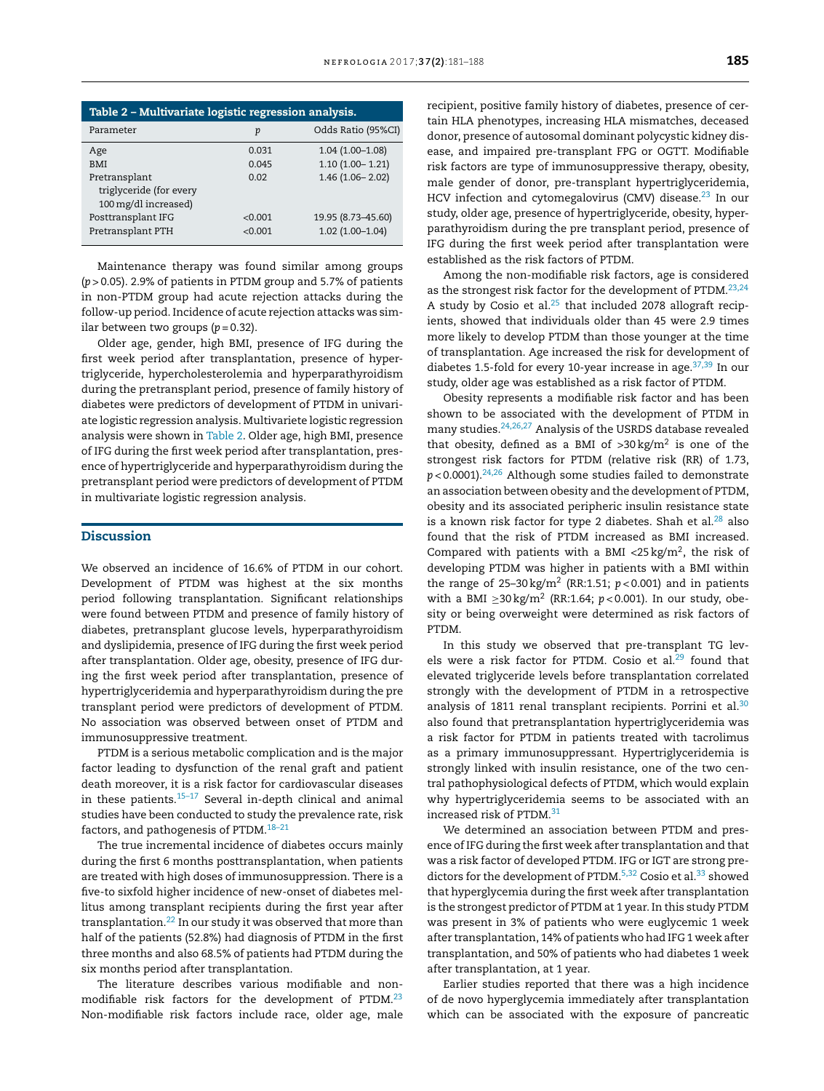| Table 2 – Multivariate logistic regression analysis.             |                    |                                         |  |
|------------------------------------------------------------------|--------------------|-----------------------------------------|--|
| Parameter                                                        | p                  | Odds Ratio (95%CI)                      |  |
| Age                                                              | 0.031              | $1.04(1.00-1.08)$                       |  |
| <b>BMI</b>                                                       | 0.045              | $1.10(1.00 - 1.21)$                     |  |
| Pretransplant<br>triglyceride (for every<br>100 mg/dl increased) | 0.02               | $1.46(1.06 - 2.02)$                     |  |
| Posttransplant IFG<br>Pretransplant PTH                          | < 0.001<br>< 0.001 | 19.95 (8.73-45.60)<br>$1.02(1.00-1.04)$ |  |

Maintenance therapy was found similar among groups (*p* > 0.05). 2.9% of patients in PTDM group and 5.7% of patients in non-PTDM group had acute rejection attacks during the follow-up period. Incidence of acute rejection attacks was similar between two groups  $(p=0.32)$ .

Older age, gender, high BMI, presence of IFG during the first week period after transplantation, presence of hypertriglyceride, hypercholesterolemia and hyperparathyroidism during the pretransplant period, presence of family history of diabetes were predictors of development of PTDM in univariate logistic regression analysis. Multivariete logistic regression analysis were shown in Table 2. Older age, high BMI, presence of IFG during the first week period after transplantation, presence of hypertriglyceride and hyperparathyroidism during the pretransplant period were predictors of development of PTDM in multivariate logistic regression analysis.

## Discussion

We observed an incidence of 16.6% of PTDM in our cohort. Development of PTDM was highest at the six months period following transplantation. Significant relationships were found between PTDM and presence of family history of diabetes, pretransplant glucose levels, hyperparathyroidism and dyslipidemia, presence of IFG during the first week period after transplantation. Older age, obesity, presence of IFG during the first week period after transplantation, presence of hypertriglyceridemia and hyperparathyroidism during the pre transplant period were predictors of development of PTDM. No association was observed between onset of PTDM and immunosuppressive treatment.

PTDM is a serious metabolic complication and is the major factor leading to dysfunction of the renal graft and patient death moreover, it is a risk factor for cardiovascular diseases in these patients. $15-17$  Several in-depth clinical and animal studies have been conducted to study the prevalence rate, risk factors, and pathogenesis of PTDM.[18–21](#page-6-0)

The true incremental incidence of diabetes occurs mainly during the first 6 months posttransplantation, when patients are treated with high doses of immunosuppression. There is a five-to sixfold higher incidence of new-onset of diabetes mellitus among transplant recipients during the first year after transplantation.[22](#page-6-0) In our study it was observed that more than half of the patients (52.8%) had diagnosis of PTDM in the first three months and also 68.5% of patients had PTDM during the six months period after transplantation.

The literature describes various modifiable and nonmodifiable risk factors for the development of PTDM.[23](#page-6-0) Non-modifiable risk factors include race, older age, male recipient, positive family history of diabetes, presence of certain HLA phenotypes, increasing HLA mismatches, deceased donor, presence of autosomal dominant polycystic kidney disease, and impaired pre-transplant FPG or OGTT. Modifiable risk factors are type of immunosuppressive therapy, obesity, male gender of donor, pre-transplant hypertriglyceridemia, HCV infection and cytomegalovirus (CMV) disease.<sup>[23](#page-6-0)</sup> In our study, older age, presence of hypertriglyceride, obesity, hyperparathyroidism during the pre transplant period, presence of IFG during the first week period after transplantation were established as the risk factors of PTDM.

Among the non-modifiable risk factors, age is considered as the strongest risk factor for the development of PTDM.<sup>[23,24](#page-6-0)</sup> A study by Cosio et al. $25$  that included 2078 allograft recipients, showed that individuals older than 45 were 2.9 times more likely to develop PTDM than those younger at the time of transplantation. Age increased the risk for development of diabetes 1.5-fold for every 10-year increase in age.<sup>[37,39](#page-6-0)</sup> In our study, older age was established as a risk factor of PTDM.

Obesity represents a modifiable risk factor and has been shown to be associated with the development of PTDM in many studies.[24,26,27](#page-6-0) Analysis of the USRDS database revealed that obesity, defined as a BMI of  $>$ 30 kg/m<sup>2</sup> is one of the strongest risk factors for PTDM (relative risk (RR) of 1.73,  $p < 0.0001$ ).<sup>[24,26](#page-6-0)</sup> Although some studies failed to demonstrate an association between obesity and the development of PTDM, obesity and its associated peripheric insulin resistance state is a known risk factor for type 2 diabetes. Shah et al. $^{28}$  $^{28}$  $^{28}$  also found that the risk of PTDM increased as BMI increased. Compared with patients with a BMI <25 kg/m<sup>2</sup>, the risk of developing PTDM was higher in patients with a BMI within the range of  $25-30 \text{ kg/m}^2$  (RR:1.51;  $p < 0.001$ ) and in patients with a BMI ≥30 kg/m<sup>2</sup> (RR:1.64;  $p$  < 0.001). In our study, obesity or being overweight were determined as risk factors of PTDM.

In this study we observed that pre-transplant TG levels were a risk factor for PTDM. Cosio et al. $29$  found that elevated triglyceride levels before transplantation correlated strongly with the development of PTDM in a retrospective analysis of 1811 renal transplant recipients. Porrini et al. $30$ also found that pretransplantation hypertriglyceridemia was a risk factor for PTDM in patients treated with tacrolimus as a primary immunosuppressant. Hypertriglyceridemia is strongly linked with insulin resistance, one of the two central pathophysiological defects of PTDM, which would explain why hypertriglyceridemia seems to be associated with an increased risk of PTDM.[31](#page-6-0)

We determined an association between PTDM and presence of IFG during the first week after transplantation and that was a risk factor of developed PTDM. IFG or IGT are strong pre-dictors for the development of PTDM.<sup>[5,32](#page-5-0)</sup> Cosio et al.<sup>[33](#page-6-0)</sup> showed that hyperglycemia during the first week after transplantation is the strongest predictor of PTDM at 1 year. In this study PTDM was present in 3% of patients who were euglycemic 1 week after transplantation, 14% of patients who had IFG 1 week after transplantation, and 50% of patients who had diabetes 1 week after transplantation, at 1 year.

Earlier studies reported that there was a high incidence of de novo hyperglycemia immediately after transplantation which can be associated with the exposure of pancreatic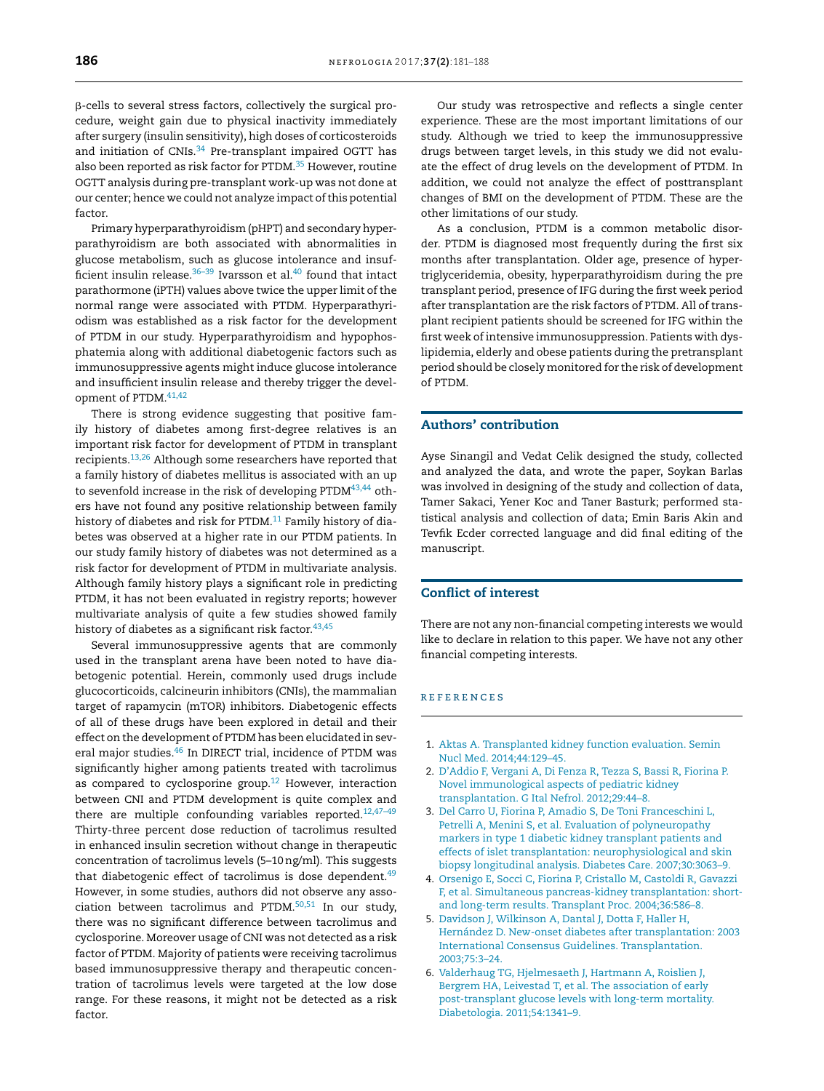<span id="page-5-0"></span>--cells to several stress factors, collectively the surgical procedure, weight gain due to physical inactivity immediately after surgery (insulin sensitivity), high doses of corticosteroids and initiation of  $CNIs.<sup>34</sup>$  $CNIs.<sup>34</sup>$  $CNIs.<sup>34</sup>$  Pre-transplant impaired OGTT has also been reported as risk factor for PTDM.<sup>[35](#page-6-0)</sup> However, routine OGTT analysis during pre-transplant work-up was not done at our center; hence we could not analyze impact of this potential factor.

Primary hyperparathyroidism (pHPT) and secondary hyperparathyroidism are both associated with abnormalities in glucose metabolism, such as glucose intolerance and insufficient insulin release. $36-39$  Ivarsson et al. $40$  found that intact parathormone (iPTH) values above twice the upper limit of the normal range were associated with PTDM. Hyperparathyriodism was established as a risk factor for the development of PTDM in our study. Hyperparathyroidism and hypophosphatemia along with additional diabetogenic factors such as immunosuppressive agents might induce glucose intolerance and insufficient insulin release and thereby trigger the devel-opment of PTDM.<sup>[41,42](#page-7-0)</sup>

There is strong evidence suggesting that positive family history of diabetes among first-degree relatives is an important risk factor for development of PTDM in transplant recipients.[13,26](#page-6-0) Although some researchers have reported that a family history of diabetes mellitus is associated with an up to sevenfold increase in the risk of developing  $PTDM<sup>43,44</sup>$  $PTDM<sup>43,44</sup>$  $PTDM<sup>43,44</sup>$  others have not found any positive relationship between family history of diabetes and risk for PTDM.<sup>[11](#page-6-0)</sup> Family history of diabetes was observed at a higher rate in our PTDM patients. In our study family history of diabetes was not determined as a risk factor for development of PTDM in multivariate analysis. Although family history plays a significant role in predicting PTDM, it has not been evaluated in registry reports; however multivariate analysis of quite a few studies showed family history of diabetes as a significant risk factor.  $43,45$ 

Several immunosuppressive agents that are commonly used in the transplant arena have been noted to have diabetogenic potential. Herein, commonly used drugs include glucocorticoids, calcineurin inhibitors (CNIs), the mammalian target of rapamycin (mTOR) inhibitors. Diabetogenic effects of all of these drugs have been explored in detail and their effect on the development of PTDM has been elucidated in sev-eral major studies.<sup>[46](#page-7-0)</sup> In DIRECT trial, incidence of PTDM was significantly higher among patients treated with tacrolimus as compared to cyclosporine group.<sup>[12](#page-6-0)</sup> However, interaction between CNI and PTDM development is quite complex and there are multiple confounding variables reported. $12,47-49$ Thirty-three percent dose reduction of tacrolimus resulted in enhanced insulin secretion without change in therapeutic concentration of tacrolimus levels (5–10ng/ml). This suggests that diabetogenic effect of tacrolimus is dose dependent. $49$ However, in some studies, authors did not observe any association between tacrolimus and PTDM.[50,51](#page-7-0) In our study, there was no significant difference between tacrolimus and cyclosporine. Moreover usage of CNI was not detected as a risk factor of PTDM. Majority of patients were receiving tacrolimus based immunosuppressive therapy and therapeutic concentration of tacrolimus levels were targeted at the low dose range. For these reasons, it might not be detected as a risk factor.

Our study was retrospective and reflects a single center experience. These are the most important limitations of our study. Although we tried to keep the immunosuppressive drugs between target levels, in this study we did not evaluate the effect of drug levels on the development of PTDM. In addition, we could not analyze the effect of posttransplant changes of BMI on the development of PTDM. These are the other limitations of our study.

As a conclusion, PTDM is a common metabolic disorder. PTDM is diagnosed most frequently during the first six months after transplantation. Older age, presence of hypertriglyceridemia, obesity, hyperparathyroidism during the pre transplant period, presence of IFG during the first week period after transplantation are the risk factors of PTDM. All of transplant recipient patients should be screened for IFG within the first week of intensive immunosuppression. Patients with dyslipidemia, elderly and obese patients during the pretransplant period should be closely monitored for the risk of development of PTDM.

# Authors' contribution

Ayse Sinangil and Vedat Celik designed the study, collected and analyzed the data, and wrote the paper, Soykan Barlas was involved in designing of the study and collection of data, Tamer Sakaci, Yener Koc and Taner Basturk; performed statistical analysis and collection of data; Emin Baris Akin and Tevfik Ecder corrected language and did final editing of the manuscript.

# Conflict of interest

There are not any non-financial competing interests we would like to declare in relation to this paper. We have not any other financial competing interests.

#### r e f e r enc e s

- 1. [Aktas](http://refhub.elsevier.com/S0211-6995(17)30004-8/sbref0260) [A.](http://refhub.elsevier.com/S0211-6995(17)30004-8/sbref0260) [Transplanted](http://refhub.elsevier.com/S0211-6995(17)30004-8/sbref0260) [kidney](http://refhub.elsevier.com/S0211-6995(17)30004-8/sbref0260) [function](http://refhub.elsevier.com/S0211-6995(17)30004-8/sbref0260) [evaluation.](http://refhub.elsevier.com/S0211-6995(17)30004-8/sbref0260) [Semin](http://refhub.elsevier.com/S0211-6995(17)30004-8/sbref0260) [Nucl](http://refhub.elsevier.com/S0211-6995(17)30004-8/sbref0260) [Med.](http://refhub.elsevier.com/S0211-6995(17)30004-8/sbref0260) [2014;44:129–45.](http://refhub.elsevier.com/S0211-6995(17)30004-8/sbref0260)
- 2. [D'Addio](http://refhub.elsevier.com/S0211-6995(17)30004-8/sbref0265) [F,](http://refhub.elsevier.com/S0211-6995(17)30004-8/sbref0265) [Vergani](http://refhub.elsevier.com/S0211-6995(17)30004-8/sbref0265) [A,](http://refhub.elsevier.com/S0211-6995(17)30004-8/sbref0265) [Di](http://refhub.elsevier.com/S0211-6995(17)30004-8/sbref0265) [Fenza](http://refhub.elsevier.com/S0211-6995(17)30004-8/sbref0265) [R,](http://refhub.elsevier.com/S0211-6995(17)30004-8/sbref0265) [Tezza](http://refhub.elsevier.com/S0211-6995(17)30004-8/sbref0265) [S,](http://refhub.elsevier.com/S0211-6995(17)30004-8/sbref0265) [Bassi](http://refhub.elsevier.com/S0211-6995(17)30004-8/sbref0265) [R,](http://refhub.elsevier.com/S0211-6995(17)30004-8/sbref0265) [Fiorina](http://refhub.elsevier.com/S0211-6995(17)30004-8/sbref0265) [P.](http://refhub.elsevier.com/S0211-6995(17)30004-8/sbref0265) [Novel](http://refhub.elsevier.com/S0211-6995(17)30004-8/sbref0265) [immunological](http://refhub.elsevier.com/S0211-6995(17)30004-8/sbref0265) [aspects](http://refhub.elsevier.com/S0211-6995(17)30004-8/sbref0265) [of](http://refhub.elsevier.com/S0211-6995(17)30004-8/sbref0265) [pediatric](http://refhub.elsevier.com/S0211-6995(17)30004-8/sbref0265) [kidney](http://refhub.elsevier.com/S0211-6995(17)30004-8/sbref0265) [transplantation.](http://refhub.elsevier.com/S0211-6995(17)30004-8/sbref0265) [G](http://refhub.elsevier.com/S0211-6995(17)30004-8/sbref0265) [Ital](http://refhub.elsevier.com/S0211-6995(17)30004-8/sbref0265) [Nefrol.](http://refhub.elsevier.com/S0211-6995(17)30004-8/sbref0265) [2012;29:44–8.](http://refhub.elsevier.com/S0211-6995(17)30004-8/sbref0265)
- 3. [Del](http://refhub.elsevier.com/S0211-6995(17)30004-8/sbref0270) [Carro](http://refhub.elsevier.com/S0211-6995(17)30004-8/sbref0270) [U,](http://refhub.elsevier.com/S0211-6995(17)30004-8/sbref0270) [Fiorina](http://refhub.elsevier.com/S0211-6995(17)30004-8/sbref0270) [P,](http://refhub.elsevier.com/S0211-6995(17)30004-8/sbref0270) [Amadio](http://refhub.elsevier.com/S0211-6995(17)30004-8/sbref0270) [S,](http://refhub.elsevier.com/S0211-6995(17)30004-8/sbref0270) [De](http://refhub.elsevier.com/S0211-6995(17)30004-8/sbref0270) [Toni](http://refhub.elsevier.com/S0211-6995(17)30004-8/sbref0270) [Franceschini](http://refhub.elsevier.com/S0211-6995(17)30004-8/sbref0270) [L,](http://refhub.elsevier.com/S0211-6995(17)30004-8/sbref0270) [Petrelli](http://refhub.elsevier.com/S0211-6995(17)30004-8/sbref0270) [A,](http://refhub.elsevier.com/S0211-6995(17)30004-8/sbref0270) [Menini](http://refhub.elsevier.com/S0211-6995(17)30004-8/sbref0270) [S,](http://refhub.elsevier.com/S0211-6995(17)30004-8/sbref0270) [et](http://refhub.elsevier.com/S0211-6995(17)30004-8/sbref0270) [al.](http://refhub.elsevier.com/S0211-6995(17)30004-8/sbref0270) [Evaluation](http://refhub.elsevier.com/S0211-6995(17)30004-8/sbref0270) [of](http://refhub.elsevier.com/S0211-6995(17)30004-8/sbref0270) [polyneuropathy](http://refhub.elsevier.com/S0211-6995(17)30004-8/sbref0270) [markers](http://refhub.elsevier.com/S0211-6995(17)30004-8/sbref0270) [in](http://refhub.elsevier.com/S0211-6995(17)30004-8/sbref0270) [type](http://refhub.elsevier.com/S0211-6995(17)30004-8/sbref0270) [1](http://refhub.elsevier.com/S0211-6995(17)30004-8/sbref0270) [diabetic](http://refhub.elsevier.com/S0211-6995(17)30004-8/sbref0270) [kidney](http://refhub.elsevier.com/S0211-6995(17)30004-8/sbref0270) [transplant](http://refhub.elsevier.com/S0211-6995(17)30004-8/sbref0270) [patients](http://refhub.elsevier.com/S0211-6995(17)30004-8/sbref0270) [and](http://refhub.elsevier.com/S0211-6995(17)30004-8/sbref0270) [effects](http://refhub.elsevier.com/S0211-6995(17)30004-8/sbref0270) [of](http://refhub.elsevier.com/S0211-6995(17)30004-8/sbref0270) [islet](http://refhub.elsevier.com/S0211-6995(17)30004-8/sbref0270) [transplantation:](http://refhub.elsevier.com/S0211-6995(17)30004-8/sbref0270) [neurophysiological](http://refhub.elsevier.com/S0211-6995(17)30004-8/sbref0270) [and](http://refhub.elsevier.com/S0211-6995(17)30004-8/sbref0270) [skin](http://refhub.elsevier.com/S0211-6995(17)30004-8/sbref0270) [biopsy](http://refhub.elsevier.com/S0211-6995(17)30004-8/sbref0270) [longitudinal](http://refhub.elsevier.com/S0211-6995(17)30004-8/sbref0270) [analysis.](http://refhub.elsevier.com/S0211-6995(17)30004-8/sbref0270) [Diabetes](http://refhub.elsevier.com/S0211-6995(17)30004-8/sbref0270) [Care.](http://refhub.elsevier.com/S0211-6995(17)30004-8/sbref0270) [2007;30:3063–9.](http://refhub.elsevier.com/S0211-6995(17)30004-8/sbref0270)
- 4. [Orsenigo](http://refhub.elsevier.com/S0211-6995(17)30004-8/sbref0275) [E,](http://refhub.elsevier.com/S0211-6995(17)30004-8/sbref0275) [Socci](http://refhub.elsevier.com/S0211-6995(17)30004-8/sbref0275) [C,](http://refhub.elsevier.com/S0211-6995(17)30004-8/sbref0275) [Fiorina](http://refhub.elsevier.com/S0211-6995(17)30004-8/sbref0275) [P,](http://refhub.elsevier.com/S0211-6995(17)30004-8/sbref0275) [Cristallo](http://refhub.elsevier.com/S0211-6995(17)30004-8/sbref0275) [M,](http://refhub.elsevier.com/S0211-6995(17)30004-8/sbref0275) [Castoldi](http://refhub.elsevier.com/S0211-6995(17)30004-8/sbref0275) [R,](http://refhub.elsevier.com/S0211-6995(17)30004-8/sbref0275) [Gavazzi](http://refhub.elsevier.com/S0211-6995(17)30004-8/sbref0275) [F,](http://refhub.elsevier.com/S0211-6995(17)30004-8/sbref0275) [et](http://refhub.elsevier.com/S0211-6995(17)30004-8/sbref0275) [al.](http://refhub.elsevier.com/S0211-6995(17)30004-8/sbref0275) [Simultaneous](http://refhub.elsevier.com/S0211-6995(17)30004-8/sbref0275) [pancreas-kidney](http://refhub.elsevier.com/S0211-6995(17)30004-8/sbref0275) [transplantation:](http://refhub.elsevier.com/S0211-6995(17)30004-8/sbref0275) [short](http://refhub.elsevier.com/S0211-6995(17)30004-8/sbref0275)[and](http://refhub.elsevier.com/S0211-6995(17)30004-8/sbref0275) [long-term](http://refhub.elsevier.com/S0211-6995(17)30004-8/sbref0275) [results.](http://refhub.elsevier.com/S0211-6995(17)30004-8/sbref0275) [Transplant](http://refhub.elsevier.com/S0211-6995(17)30004-8/sbref0275) [Proc.](http://refhub.elsevier.com/S0211-6995(17)30004-8/sbref0275) [2004;36:586](http://refhub.elsevier.com/S0211-6995(17)30004-8/sbref0275)–[8.](http://refhub.elsevier.com/S0211-6995(17)30004-8/sbref0275)
- 5. [Davidson](http://refhub.elsevier.com/S0211-6995(17)30004-8/sbref0280) [J,](http://refhub.elsevier.com/S0211-6995(17)30004-8/sbref0280) [Wilkinson](http://refhub.elsevier.com/S0211-6995(17)30004-8/sbref0280) [A,](http://refhub.elsevier.com/S0211-6995(17)30004-8/sbref0280) [Dantal](http://refhub.elsevier.com/S0211-6995(17)30004-8/sbref0280) [J,](http://refhub.elsevier.com/S0211-6995(17)30004-8/sbref0280) [Dotta](http://refhub.elsevier.com/S0211-6995(17)30004-8/sbref0280) [F,](http://refhub.elsevier.com/S0211-6995(17)30004-8/sbref0280) [Haller](http://refhub.elsevier.com/S0211-6995(17)30004-8/sbref0280) [H,](http://refhub.elsevier.com/S0211-6995(17)30004-8/sbref0280) [Hernández](http://refhub.elsevier.com/S0211-6995(17)30004-8/sbref0280) [D.](http://refhub.elsevier.com/S0211-6995(17)30004-8/sbref0280) [New-onset](http://refhub.elsevier.com/S0211-6995(17)30004-8/sbref0280) [diabetes](http://refhub.elsevier.com/S0211-6995(17)30004-8/sbref0280) [after](http://refhub.elsevier.com/S0211-6995(17)30004-8/sbref0280) [transplantation:](http://refhub.elsevier.com/S0211-6995(17)30004-8/sbref0280) [2003](http://refhub.elsevier.com/S0211-6995(17)30004-8/sbref0280) [International](http://refhub.elsevier.com/S0211-6995(17)30004-8/sbref0280) [Consensus](http://refhub.elsevier.com/S0211-6995(17)30004-8/sbref0280) [Guidelines.](http://refhub.elsevier.com/S0211-6995(17)30004-8/sbref0280) [Transplantation.](http://refhub.elsevier.com/S0211-6995(17)30004-8/sbref0280) [2003;75:3–24.](http://refhub.elsevier.com/S0211-6995(17)30004-8/sbref0280)
- 6. [Valderhaug](http://refhub.elsevier.com/S0211-6995(17)30004-8/sbref0285) [TG,](http://refhub.elsevier.com/S0211-6995(17)30004-8/sbref0285) [Hjelmesaeth](http://refhub.elsevier.com/S0211-6995(17)30004-8/sbref0285) [J,](http://refhub.elsevier.com/S0211-6995(17)30004-8/sbref0285) [Hartmann](http://refhub.elsevier.com/S0211-6995(17)30004-8/sbref0285) [A,](http://refhub.elsevier.com/S0211-6995(17)30004-8/sbref0285) [Roislien](http://refhub.elsevier.com/S0211-6995(17)30004-8/sbref0285) [J,](http://refhub.elsevier.com/S0211-6995(17)30004-8/sbref0285) [Bergrem](http://refhub.elsevier.com/S0211-6995(17)30004-8/sbref0285) [HA,](http://refhub.elsevier.com/S0211-6995(17)30004-8/sbref0285) [Leivestad](http://refhub.elsevier.com/S0211-6995(17)30004-8/sbref0285) [T,](http://refhub.elsevier.com/S0211-6995(17)30004-8/sbref0285) [et](http://refhub.elsevier.com/S0211-6995(17)30004-8/sbref0285) [al.](http://refhub.elsevier.com/S0211-6995(17)30004-8/sbref0285) [The](http://refhub.elsevier.com/S0211-6995(17)30004-8/sbref0285) [association](http://refhub.elsevier.com/S0211-6995(17)30004-8/sbref0285) [of](http://refhub.elsevier.com/S0211-6995(17)30004-8/sbref0285) [early](http://refhub.elsevier.com/S0211-6995(17)30004-8/sbref0285) [post-transplant](http://refhub.elsevier.com/S0211-6995(17)30004-8/sbref0285) [glucose](http://refhub.elsevier.com/S0211-6995(17)30004-8/sbref0285) [levels](http://refhub.elsevier.com/S0211-6995(17)30004-8/sbref0285) [with](http://refhub.elsevier.com/S0211-6995(17)30004-8/sbref0285) [long-term](http://refhub.elsevier.com/S0211-6995(17)30004-8/sbref0285) [mortality.](http://refhub.elsevier.com/S0211-6995(17)30004-8/sbref0285) [Diabetologia.](http://refhub.elsevier.com/S0211-6995(17)30004-8/sbref0285) [2011;54:1341–9.](http://refhub.elsevier.com/S0211-6995(17)30004-8/sbref0285)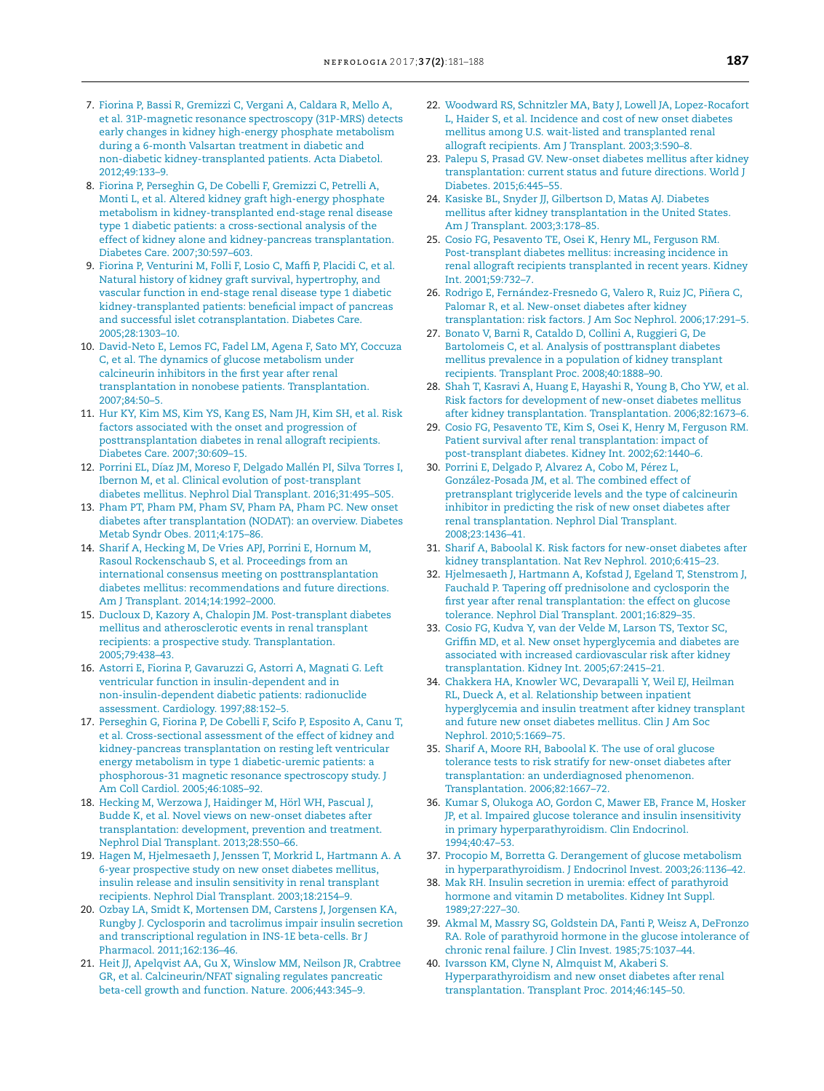- <span id="page-6-0"></span>7. [Fiorina](http://refhub.elsevier.com/S0211-6995(17)30004-8/sbref0290) [P,](http://refhub.elsevier.com/S0211-6995(17)30004-8/sbref0290) [Bassi](http://refhub.elsevier.com/S0211-6995(17)30004-8/sbref0290) [R,](http://refhub.elsevier.com/S0211-6995(17)30004-8/sbref0290) [Gremizzi](http://refhub.elsevier.com/S0211-6995(17)30004-8/sbref0290) [C,](http://refhub.elsevier.com/S0211-6995(17)30004-8/sbref0290) [Vergani](http://refhub.elsevier.com/S0211-6995(17)30004-8/sbref0290) [A,](http://refhub.elsevier.com/S0211-6995(17)30004-8/sbref0290) [Caldara](http://refhub.elsevier.com/S0211-6995(17)30004-8/sbref0290) [R,](http://refhub.elsevier.com/S0211-6995(17)30004-8/sbref0290) [Mello](http://refhub.elsevier.com/S0211-6995(17)30004-8/sbref0290) [A,](http://refhub.elsevier.com/S0211-6995(17)30004-8/sbref0290) [et](http://refhub.elsevier.com/S0211-6995(17)30004-8/sbref0290) [al.](http://refhub.elsevier.com/S0211-6995(17)30004-8/sbref0290) [31P-magnetic](http://refhub.elsevier.com/S0211-6995(17)30004-8/sbref0290) [resonance](http://refhub.elsevier.com/S0211-6995(17)30004-8/sbref0290) [spectroscopy](http://refhub.elsevier.com/S0211-6995(17)30004-8/sbref0290) [\(31P-MRS\)](http://refhub.elsevier.com/S0211-6995(17)30004-8/sbref0290) [detects](http://refhub.elsevier.com/S0211-6995(17)30004-8/sbref0290) [early](http://refhub.elsevier.com/S0211-6995(17)30004-8/sbref0290) [changes](http://refhub.elsevier.com/S0211-6995(17)30004-8/sbref0290) [in](http://refhub.elsevier.com/S0211-6995(17)30004-8/sbref0290) [kidney](http://refhub.elsevier.com/S0211-6995(17)30004-8/sbref0290) [high-energy](http://refhub.elsevier.com/S0211-6995(17)30004-8/sbref0290) [phosphate](http://refhub.elsevier.com/S0211-6995(17)30004-8/sbref0290) [metabolism](http://refhub.elsevier.com/S0211-6995(17)30004-8/sbref0290) [during](http://refhub.elsevier.com/S0211-6995(17)30004-8/sbref0290) [a](http://refhub.elsevier.com/S0211-6995(17)30004-8/sbref0290) [6-month](http://refhub.elsevier.com/S0211-6995(17)30004-8/sbref0290) [Valsartan](http://refhub.elsevier.com/S0211-6995(17)30004-8/sbref0290) [treatment](http://refhub.elsevier.com/S0211-6995(17)30004-8/sbref0290) [in](http://refhub.elsevier.com/S0211-6995(17)30004-8/sbref0290) [diabetic](http://refhub.elsevier.com/S0211-6995(17)30004-8/sbref0290) [and](http://refhub.elsevier.com/S0211-6995(17)30004-8/sbref0290) [non-diabetic](http://refhub.elsevier.com/S0211-6995(17)30004-8/sbref0290) [kidney-transplanted](http://refhub.elsevier.com/S0211-6995(17)30004-8/sbref0290) [patients.](http://refhub.elsevier.com/S0211-6995(17)30004-8/sbref0290) [Acta](http://refhub.elsevier.com/S0211-6995(17)30004-8/sbref0290) [Diabetol.](http://refhub.elsevier.com/S0211-6995(17)30004-8/sbref0290) [2012;49:133–9.](http://refhub.elsevier.com/S0211-6995(17)30004-8/sbref0290)
- 8. [Fiorina](http://refhub.elsevier.com/S0211-6995(17)30004-8/sbref0295) [P,](http://refhub.elsevier.com/S0211-6995(17)30004-8/sbref0295) [Perseghin](http://refhub.elsevier.com/S0211-6995(17)30004-8/sbref0295) [G,](http://refhub.elsevier.com/S0211-6995(17)30004-8/sbref0295) [De](http://refhub.elsevier.com/S0211-6995(17)30004-8/sbref0295) [Cobelli](http://refhub.elsevier.com/S0211-6995(17)30004-8/sbref0295) [F,](http://refhub.elsevier.com/S0211-6995(17)30004-8/sbref0295) [Gremizzi](http://refhub.elsevier.com/S0211-6995(17)30004-8/sbref0295) [C,](http://refhub.elsevier.com/S0211-6995(17)30004-8/sbref0295) [Petrelli](http://refhub.elsevier.com/S0211-6995(17)30004-8/sbref0295) [A,](http://refhub.elsevier.com/S0211-6995(17)30004-8/sbref0295) [Monti](http://refhub.elsevier.com/S0211-6995(17)30004-8/sbref0295) [L,](http://refhub.elsevier.com/S0211-6995(17)30004-8/sbref0295) [et](http://refhub.elsevier.com/S0211-6995(17)30004-8/sbref0295) [al.](http://refhub.elsevier.com/S0211-6995(17)30004-8/sbref0295) [Altered](http://refhub.elsevier.com/S0211-6995(17)30004-8/sbref0295) [kidney](http://refhub.elsevier.com/S0211-6995(17)30004-8/sbref0295) [graft](http://refhub.elsevier.com/S0211-6995(17)30004-8/sbref0295) [high-energy](http://refhub.elsevier.com/S0211-6995(17)30004-8/sbref0295) [phosphate](http://refhub.elsevier.com/S0211-6995(17)30004-8/sbref0295) [metabolism](http://refhub.elsevier.com/S0211-6995(17)30004-8/sbref0295) [in](http://refhub.elsevier.com/S0211-6995(17)30004-8/sbref0295) [kidney-transplanted](http://refhub.elsevier.com/S0211-6995(17)30004-8/sbref0295) [end-stage](http://refhub.elsevier.com/S0211-6995(17)30004-8/sbref0295) [renal](http://refhub.elsevier.com/S0211-6995(17)30004-8/sbref0295) [disease](http://refhub.elsevier.com/S0211-6995(17)30004-8/sbref0295) [type](http://refhub.elsevier.com/S0211-6995(17)30004-8/sbref0295) [1](http://refhub.elsevier.com/S0211-6995(17)30004-8/sbref0295) [diabetic](http://refhub.elsevier.com/S0211-6995(17)30004-8/sbref0295) [patients:](http://refhub.elsevier.com/S0211-6995(17)30004-8/sbref0295) [a](http://refhub.elsevier.com/S0211-6995(17)30004-8/sbref0295) [cross-sectional](http://refhub.elsevier.com/S0211-6995(17)30004-8/sbref0295) [analysis](http://refhub.elsevier.com/S0211-6995(17)30004-8/sbref0295) [of](http://refhub.elsevier.com/S0211-6995(17)30004-8/sbref0295) [the](http://refhub.elsevier.com/S0211-6995(17)30004-8/sbref0295) [effect](http://refhub.elsevier.com/S0211-6995(17)30004-8/sbref0295) [of](http://refhub.elsevier.com/S0211-6995(17)30004-8/sbref0295) [kidney](http://refhub.elsevier.com/S0211-6995(17)30004-8/sbref0295) [alone](http://refhub.elsevier.com/S0211-6995(17)30004-8/sbref0295) [and](http://refhub.elsevier.com/S0211-6995(17)30004-8/sbref0295) [kidney-pancreas](http://refhub.elsevier.com/S0211-6995(17)30004-8/sbref0295) [transplantation.](http://refhub.elsevier.com/S0211-6995(17)30004-8/sbref0295) [Diabetes](http://refhub.elsevier.com/S0211-6995(17)30004-8/sbref0295) [Care.](http://refhub.elsevier.com/S0211-6995(17)30004-8/sbref0295) [2007;30:597–603.](http://refhub.elsevier.com/S0211-6995(17)30004-8/sbref0295)
- 9. [Fiorina](http://refhub.elsevier.com/S0211-6995(17)30004-8/sbref0300) [P,](http://refhub.elsevier.com/S0211-6995(17)30004-8/sbref0300) [Venturini](http://refhub.elsevier.com/S0211-6995(17)30004-8/sbref0300) [M,](http://refhub.elsevier.com/S0211-6995(17)30004-8/sbref0300) [Folli](http://refhub.elsevier.com/S0211-6995(17)30004-8/sbref0300) [F,](http://refhub.elsevier.com/S0211-6995(17)30004-8/sbref0300) [Losio](http://refhub.elsevier.com/S0211-6995(17)30004-8/sbref0300) [C,](http://refhub.elsevier.com/S0211-6995(17)30004-8/sbref0300) [Maffi](http://refhub.elsevier.com/S0211-6995(17)30004-8/sbref0300) [P,](http://refhub.elsevier.com/S0211-6995(17)30004-8/sbref0300) [Placidi](http://refhub.elsevier.com/S0211-6995(17)30004-8/sbref0300) [C,](http://refhub.elsevier.com/S0211-6995(17)30004-8/sbref0300) [et](http://refhub.elsevier.com/S0211-6995(17)30004-8/sbref0300) [al.](http://refhub.elsevier.com/S0211-6995(17)30004-8/sbref0300) [Natural](http://refhub.elsevier.com/S0211-6995(17)30004-8/sbref0300) [history](http://refhub.elsevier.com/S0211-6995(17)30004-8/sbref0300) [of](http://refhub.elsevier.com/S0211-6995(17)30004-8/sbref0300) [kidney](http://refhub.elsevier.com/S0211-6995(17)30004-8/sbref0300) [graft](http://refhub.elsevier.com/S0211-6995(17)30004-8/sbref0300) [survival,](http://refhub.elsevier.com/S0211-6995(17)30004-8/sbref0300) [hypertrophy,](http://refhub.elsevier.com/S0211-6995(17)30004-8/sbref0300) [and](http://refhub.elsevier.com/S0211-6995(17)30004-8/sbref0300) [vascular](http://refhub.elsevier.com/S0211-6995(17)30004-8/sbref0300) [function](http://refhub.elsevier.com/S0211-6995(17)30004-8/sbref0300) [in](http://refhub.elsevier.com/S0211-6995(17)30004-8/sbref0300) [end-stage](http://refhub.elsevier.com/S0211-6995(17)30004-8/sbref0300) [renal](http://refhub.elsevier.com/S0211-6995(17)30004-8/sbref0300) [disease](http://refhub.elsevier.com/S0211-6995(17)30004-8/sbref0300) [type](http://refhub.elsevier.com/S0211-6995(17)30004-8/sbref0300) [1](http://refhub.elsevier.com/S0211-6995(17)30004-8/sbref0300) [diabetic](http://refhub.elsevier.com/S0211-6995(17)30004-8/sbref0300) [kidney-transplanted](http://refhub.elsevier.com/S0211-6995(17)30004-8/sbref0300) [patients:](http://refhub.elsevier.com/S0211-6995(17)30004-8/sbref0300) [beneficial](http://refhub.elsevier.com/S0211-6995(17)30004-8/sbref0300) [impact](http://refhub.elsevier.com/S0211-6995(17)30004-8/sbref0300) [of](http://refhub.elsevier.com/S0211-6995(17)30004-8/sbref0300) [pancreas](http://refhub.elsevier.com/S0211-6995(17)30004-8/sbref0300) [and](http://refhub.elsevier.com/S0211-6995(17)30004-8/sbref0300) [successful](http://refhub.elsevier.com/S0211-6995(17)30004-8/sbref0300) [islet](http://refhub.elsevier.com/S0211-6995(17)30004-8/sbref0300) [cotransplantation.](http://refhub.elsevier.com/S0211-6995(17)30004-8/sbref0300) [Diabetes](http://refhub.elsevier.com/S0211-6995(17)30004-8/sbref0300) [Care.](http://refhub.elsevier.com/S0211-6995(17)30004-8/sbref0300) [2005;28:1303–10.](http://refhub.elsevier.com/S0211-6995(17)30004-8/sbref0300)
- 10. [David-Neto](http://refhub.elsevier.com/S0211-6995(17)30004-8/sbref0305) [E,](http://refhub.elsevier.com/S0211-6995(17)30004-8/sbref0305) [Lemos](http://refhub.elsevier.com/S0211-6995(17)30004-8/sbref0305) [FC,](http://refhub.elsevier.com/S0211-6995(17)30004-8/sbref0305) [Fadel](http://refhub.elsevier.com/S0211-6995(17)30004-8/sbref0305) [LM,](http://refhub.elsevier.com/S0211-6995(17)30004-8/sbref0305) [Agena](http://refhub.elsevier.com/S0211-6995(17)30004-8/sbref0305) [F,](http://refhub.elsevier.com/S0211-6995(17)30004-8/sbref0305) [Sato](http://refhub.elsevier.com/S0211-6995(17)30004-8/sbref0305) [MY,](http://refhub.elsevier.com/S0211-6995(17)30004-8/sbref0305) [Coccuza](http://refhub.elsevier.com/S0211-6995(17)30004-8/sbref0305) [C,](http://refhub.elsevier.com/S0211-6995(17)30004-8/sbref0305) [et](http://refhub.elsevier.com/S0211-6995(17)30004-8/sbref0305) [al.](http://refhub.elsevier.com/S0211-6995(17)30004-8/sbref0305) [The](http://refhub.elsevier.com/S0211-6995(17)30004-8/sbref0305) [dynamics](http://refhub.elsevier.com/S0211-6995(17)30004-8/sbref0305) [of](http://refhub.elsevier.com/S0211-6995(17)30004-8/sbref0305) [glucose](http://refhub.elsevier.com/S0211-6995(17)30004-8/sbref0305) [metabolism](http://refhub.elsevier.com/S0211-6995(17)30004-8/sbref0305) [under](http://refhub.elsevier.com/S0211-6995(17)30004-8/sbref0305) [calcineurin](http://refhub.elsevier.com/S0211-6995(17)30004-8/sbref0305) [inhibitors](http://refhub.elsevier.com/S0211-6995(17)30004-8/sbref0305) [in](http://refhub.elsevier.com/S0211-6995(17)30004-8/sbref0305) [the](http://refhub.elsevier.com/S0211-6995(17)30004-8/sbref0305) [first](http://refhub.elsevier.com/S0211-6995(17)30004-8/sbref0305) [year](http://refhub.elsevier.com/S0211-6995(17)30004-8/sbref0305) [after](http://refhub.elsevier.com/S0211-6995(17)30004-8/sbref0305) [renal](http://refhub.elsevier.com/S0211-6995(17)30004-8/sbref0305) [transplantation](http://refhub.elsevier.com/S0211-6995(17)30004-8/sbref0305) [in](http://refhub.elsevier.com/S0211-6995(17)30004-8/sbref0305) [nonobese](http://refhub.elsevier.com/S0211-6995(17)30004-8/sbref0305) [patients.](http://refhub.elsevier.com/S0211-6995(17)30004-8/sbref0305) [Transplantation.](http://refhub.elsevier.com/S0211-6995(17)30004-8/sbref0305) [2007;84:50](http://refhub.elsevier.com/S0211-6995(17)30004-8/sbref0305)–[5.](http://refhub.elsevier.com/S0211-6995(17)30004-8/sbref0305)
- 11. [Hur](http://refhub.elsevier.com/S0211-6995(17)30004-8/sbref0310) [KY,](http://refhub.elsevier.com/S0211-6995(17)30004-8/sbref0310) [Kim](http://refhub.elsevier.com/S0211-6995(17)30004-8/sbref0310) [MS,](http://refhub.elsevier.com/S0211-6995(17)30004-8/sbref0310) [Kim](http://refhub.elsevier.com/S0211-6995(17)30004-8/sbref0310) [YS,](http://refhub.elsevier.com/S0211-6995(17)30004-8/sbref0310) [Kang](http://refhub.elsevier.com/S0211-6995(17)30004-8/sbref0310) [ES,](http://refhub.elsevier.com/S0211-6995(17)30004-8/sbref0310) [Nam](http://refhub.elsevier.com/S0211-6995(17)30004-8/sbref0310) [JH,](http://refhub.elsevier.com/S0211-6995(17)30004-8/sbref0310) [Kim](http://refhub.elsevier.com/S0211-6995(17)30004-8/sbref0310) [SH,](http://refhub.elsevier.com/S0211-6995(17)30004-8/sbref0310) [et](http://refhub.elsevier.com/S0211-6995(17)30004-8/sbref0310) [al.](http://refhub.elsevier.com/S0211-6995(17)30004-8/sbref0310) [Risk](http://refhub.elsevier.com/S0211-6995(17)30004-8/sbref0310) [factors](http://refhub.elsevier.com/S0211-6995(17)30004-8/sbref0310) [associated](http://refhub.elsevier.com/S0211-6995(17)30004-8/sbref0310) [with](http://refhub.elsevier.com/S0211-6995(17)30004-8/sbref0310) [the](http://refhub.elsevier.com/S0211-6995(17)30004-8/sbref0310) [onset](http://refhub.elsevier.com/S0211-6995(17)30004-8/sbref0310) [and](http://refhub.elsevier.com/S0211-6995(17)30004-8/sbref0310) [progression](http://refhub.elsevier.com/S0211-6995(17)30004-8/sbref0310) [of](http://refhub.elsevier.com/S0211-6995(17)30004-8/sbref0310) [posttransplantation](http://refhub.elsevier.com/S0211-6995(17)30004-8/sbref0310) [diabetes](http://refhub.elsevier.com/S0211-6995(17)30004-8/sbref0310) [in](http://refhub.elsevier.com/S0211-6995(17)30004-8/sbref0310) [renal](http://refhub.elsevier.com/S0211-6995(17)30004-8/sbref0310) [allograft](http://refhub.elsevier.com/S0211-6995(17)30004-8/sbref0310) [recipients.](http://refhub.elsevier.com/S0211-6995(17)30004-8/sbref0310) [Diabetes](http://refhub.elsevier.com/S0211-6995(17)30004-8/sbref0310) [Care.](http://refhub.elsevier.com/S0211-6995(17)30004-8/sbref0310) [2007;30:609–15.](http://refhub.elsevier.com/S0211-6995(17)30004-8/sbref0310)
- 12. [Porrini](http://refhub.elsevier.com/S0211-6995(17)30004-8/sbref0315) [EL,](http://refhub.elsevier.com/S0211-6995(17)30004-8/sbref0315) [Díaz](http://refhub.elsevier.com/S0211-6995(17)30004-8/sbref0315) [JM,](http://refhub.elsevier.com/S0211-6995(17)30004-8/sbref0315) [Moreso](http://refhub.elsevier.com/S0211-6995(17)30004-8/sbref0315) [F,](http://refhub.elsevier.com/S0211-6995(17)30004-8/sbref0315) [Delgado](http://refhub.elsevier.com/S0211-6995(17)30004-8/sbref0315) [Mallén](http://refhub.elsevier.com/S0211-6995(17)30004-8/sbref0315) [PI,](http://refhub.elsevier.com/S0211-6995(17)30004-8/sbref0315) [Silva](http://refhub.elsevier.com/S0211-6995(17)30004-8/sbref0315) [Torres](http://refhub.elsevier.com/S0211-6995(17)30004-8/sbref0315) [I,](http://refhub.elsevier.com/S0211-6995(17)30004-8/sbref0315) [Ibernon](http://refhub.elsevier.com/S0211-6995(17)30004-8/sbref0315) [M,](http://refhub.elsevier.com/S0211-6995(17)30004-8/sbref0315) [et](http://refhub.elsevier.com/S0211-6995(17)30004-8/sbref0315) [al.](http://refhub.elsevier.com/S0211-6995(17)30004-8/sbref0315) [Clinical](http://refhub.elsevier.com/S0211-6995(17)30004-8/sbref0315) [evolution](http://refhub.elsevier.com/S0211-6995(17)30004-8/sbref0315) [of](http://refhub.elsevier.com/S0211-6995(17)30004-8/sbref0315) [post-transplant](http://refhub.elsevier.com/S0211-6995(17)30004-8/sbref0315) [diabetes](http://refhub.elsevier.com/S0211-6995(17)30004-8/sbref0315) [mellitus.](http://refhub.elsevier.com/S0211-6995(17)30004-8/sbref0315) [Nephrol](http://refhub.elsevier.com/S0211-6995(17)30004-8/sbref0315) [Dial](http://refhub.elsevier.com/S0211-6995(17)30004-8/sbref0315) [Transplant.](http://refhub.elsevier.com/S0211-6995(17)30004-8/sbref0315) [2016;31:495–505.](http://refhub.elsevier.com/S0211-6995(17)30004-8/sbref0315)
- 13. [Pham](http://refhub.elsevier.com/S0211-6995(17)30004-8/sbref0320) [PT,](http://refhub.elsevier.com/S0211-6995(17)30004-8/sbref0320) [Pham](http://refhub.elsevier.com/S0211-6995(17)30004-8/sbref0320) [PM,](http://refhub.elsevier.com/S0211-6995(17)30004-8/sbref0320) [Pham](http://refhub.elsevier.com/S0211-6995(17)30004-8/sbref0320) [SV,](http://refhub.elsevier.com/S0211-6995(17)30004-8/sbref0320) [Pham](http://refhub.elsevier.com/S0211-6995(17)30004-8/sbref0320) [PA,](http://refhub.elsevier.com/S0211-6995(17)30004-8/sbref0320) [Pham](http://refhub.elsevier.com/S0211-6995(17)30004-8/sbref0320) [PC.](http://refhub.elsevier.com/S0211-6995(17)30004-8/sbref0320) [New](http://refhub.elsevier.com/S0211-6995(17)30004-8/sbref0320) [onset](http://refhub.elsevier.com/S0211-6995(17)30004-8/sbref0320) [diabetes](http://refhub.elsevier.com/S0211-6995(17)30004-8/sbref0320) [after](http://refhub.elsevier.com/S0211-6995(17)30004-8/sbref0320) [transplantation](http://refhub.elsevier.com/S0211-6995(17)30004-8/sbref0320) [\(NODAT\):](http://refhub.elsevier.com/S0211-6995(17)30004-8/sbref0320) [an](http://refhub.elsevier.com/S0211-6995(17)30004-8/sbref0320) [overview.](http://refhub.elsevier.com/S0211-6995(17)30004-8/sbref0320) [Diabetes](http://refhub.elsevier.com/S0211-6995(17)30004-8/sbref0320) [Metab](http://refhub.elsevier.com/S0211-6995(17)30004-8/sbref0320) [Syndr](http://refhub.elsevier.com/S0211-6995(17)30004-8/sbref0320) [Obes.](http://refhub.elsevier.com/S0211-6995(17)30004-8/sbref0320) [2011;4:175–86.](http://refhub.elsevier.com/S0211-6995(17)30004-8/sbref0320)
- 14. [Sharif](http://refhub.elsevier.com/S0211-6995(17)30004-8/sbref0325) [A,](http://refhub.elsevier.com/S0211-6995(17)30004-8/sbref0325) [Hecking](http://refhub.elsevier.com/S0211-6995(17)30004-8/sbref0325) [M,](http://refhub.elsevier.com/S0211-6995(17)30004-8/sbref0325) [De](http://refhub.elsevier.com/S0211-6995(17)30004-8/sbref0325) [Vries](http://refhub.elsevier.com/S0211-6995(17)30004-8/sbref0325) [APJ,](http://refhub.elsevier.com/S0211-6995(17)30004-8/sbref0325) [Porrini](http://refhub.elsevier.com/S0211-6995(17)30004-8/sbref0325) [E,](http://refhub.elsevier.com/S0211-6995(17)30004-8/sbref0325) [Hornum](http://refhub.elsevier.com/S0211-6995(17)30004-8/sbref0325) [M,](http://refhub.elsevier.com/S0211-6995(17)30004-8/sbref0325) [Rasoul](http://refhub.elsevier.com/S0211-6995(17)30004-8/sbref0325) [Rockenschaub](http://refhub.elsevier.com/S0211-6995(17)30004-8/sbref0325) [S,](http://refhub.elsevier.com/S0211-6995(17)30004-8/sbref0325) [et](http://refhub.elsevier.com/S0211-6995(17)30004-8/sbref0325) [al.](http://refhub.elsevier.com/S0211-6995(17)30004-8/sbref0325) [Proceedings](http://refhub.elsevier.com/S0211-6995(17)30004-8/sbref0325) [from](http://refhub.elsevier.com/S0211-6995(17)30004-8/sbref0325) [an](http://refhub.elsevier.com/S0211-6995(17)30004-8/sbref0325) [international](http://refhub.elsevier.com/S0211-6995(17)30004-8/sbref0325) [consensus](http://refhub.elsevier.com/S0211-6995(17)30004-8/sbref0325) [meeting](http://refhub.elsevier.com/S0211-6995(17)30004-8/sbref0325) [on](http://refhub.elsevier.com/S0211-6995(17)30004-8/sbref0325) [posttransplantation](http://refhub.elsevier.com/S0211-6995(17)30004-8/sbref0325) [diabetes](http://refhub.elsevier.com/S0211-6995(17)30004-8/sbref0325) [mellitus:](http://refhub.elsevier.com/S0211-6995(17)30004-8/sbref0325) [recommendations](http://refhub.elsevier.com/S0211-6995(17)30004-8/sbref0325) [and](http://refhub.elsevier.com/S0211-6995(17)30004-8/sbref0325) [future](http://refhub.elsevier.com/S0211-6995(17)30004-8/sbref0325) [directions.](http://refhub.elsevier.com/S0211-6995(17)30004-8/sbref0325) [Am](http://refhub.elsevier.com/S0211-6995(17)30004-8/sbref0325) [J](http://refhub.elsevier.com/S0211-6995(17)30004-8/sbref0325) [Transplant.](http://refhub.elsevier.com/S0211-6995(17)30004-8/sbref0325) [2014;14:1992–2000.](http://refhub.elsevier.com/S0211-6995(17)30004-8/sbref0325)
- 15. [Ducloux](http://refhub.elsevier.com/S0211-6995(17)30004-8/sbref0330) [D,](http://refhub.elsevier.com/S0211-6995(17)30004-8/sbref0330) [Kazory](http://refhub.elsevier.com/S0211-6995(17)30004-8/sbref0330) [A,](http://refhub.elsevier.com/S0211-6995(17)30004-8/sbref0330) [Chalopin](http://refhub.elsevier.com/S0211-6995(17)30004-8/sbref0330) [JM.](http://refhub.elsevier.com/S0211-6995(17)30004-8/sbref0330) [Post-transplant](http://refhub.elsevier.com/S0211-6995(17)30004-8/sbref0330) [diabetes](http://refhub.elsevier.com/S0211-6995(17)30004-8/sbref0330) [mellitus](http://refhub.elsevier.com/S0211-6995(17)30004-8/sbref0330) [and](http://refhub.elsevier.com/S0211-6995(17)30004-8/sbref0330) [atherosclerotic](http://refhub.elsevier.com/S0211-6995(17)30004-8/sbref0330) [events](http://refhub.elsevier.com/S0211-6995(17)30004-8/sbref0330) [in](http://refhub.elsevier.com/S0211-6995(17)30004-8/sbref0330) [renal](http://refhub.elsevier.com/S0211-6995(17)30004-8/sbref0330) [transplant](http://refhub.elsevier.com/S0211-6995(17)30004-8/sbref0330) [recipients:](http://refhub.elsevier.com/S0211-6995(17)30004-8/sbref0330) [a](http://refhub.elsevier.com/S0211-6995(17)30004-8/sbref0330) [prospective](http://refhub.elsevier.com/S0211-6995(17)30004-8/sbref0330) [study.](http://refhub.elsevier.com/S0211-6995(17)30004-8/sbref0330) [Transplantation.](http://refhub.elsevier.com/S0211-6995(17)30004-8/sbref0330) [2005;79:438](http://refhub.elsevier.com/S0211-6995(17)30004-8/sbref0330)–[43.](http://refhub.elsevier.com/S0211-6995(17)30004-8/sbref0330)
- 16. [Astorri](http://refhub.elsevier.com/S0211-6995(17)30004-8/sbref0335) [E,](http://refhub.elsevier.com/S0211-6995(17)30004-8/sbref0335) [Fiorina](http://refhub.elsevier.com/S0211-6995(17)30004-8/sbref0335) [P,](http://refhub.elsevier.com/S0211-6995(17)30004-8/sbref0335) [Gavaruzzi](http://refhub.elsevier.com/S0211-6995(17)30004-8/sbref0335) [G,](http://refhub.elsevier.com/S0211-6995(17)30004-8/sbref0335) [Astorri](http://refhub.elsevier.com/S0211-6995(17)30004-8/sbref0335) [A,](http://refhub.elsevier.com/S0211-6995(17)30004-8/sbref0335) [Magnati](http://refhub.elsevier.com/S0211-6995(17)30004-8/sbref0335) [G.](http://refhub.elsevier.com/S0211-6995(17)30004-8/sbref0335) [Left](http://refhub.elsevier.com/S0211-6995(17)30004-8/sbref0335) [ventricular](http://refhub.elsevier.com/S0211-6995(17)30004-8/sbref0335) [function](http://refhub.elsevier.com/S0211-6995(17)30004-8/sbref0335) [in](http://refhub.elsevier.com/S0211-6995(17)30004-8/sbref0335) [insulin-dependent](http://refhub.elsevier.com/S0211-6995(17)30004-8/sbref0335) [and](http://refhub.elsevier.com/S0211-6995(17)30004-8/sbref0335) [in](http://refhub.elsevier.com/S0211-6995(17)30004-8/sbref0335) [non-insulin-dependent](http://refhub.elsevier.com/S0211-6995(17)30004-8/sbref0335) [diabetic](http://refhub.elsevier.com/S0211-6995(17)30004-8/sbref0335) [patients:](http://refhub.elsevier.com/S0211-6995(17)30004-8/sbref0335) [radionuclide](http://refhub.elsevier.com/S0211-6995(17)30004-8/sbref0335) [assessment.](http://refhub.elsevier.com/S0211-6995(17)30004-8/sbref0335) [Cardiology.](http://refhub.elsevier.com/S0211-6995(17)30004-8/sbref0335) [1997;88:152](http://refhub.elsevier.com/S0211-6995(17)30004-8/sbref0335)–[5.](http://refhub.elsevier.com/S0211-6995(17)30004-8/sbref0335)
- 17. [Perseghin](http://refhub.elsevier.com/S0211-6995(17)30004-8/sbref0340) [G,](http://refhub.elsevier.com/S0211-6995(17)30004-8/sbref0340) [Fiorina](http://refhub.elsevier.com/S0211-6995(17)30004-8/sbref0340) [P,](http://refhub.elsevier.com/S0211-6995(17)30004-8/sbref0340) [De](http://refhub.elsevier.com/S0211-6995(17)30004-8/sbref0340) [Cobelli](http://refhub.elsevier.com/S0211-6995(17)30004-8/sbref0340) [F,](http://refhub.elsevier.com/S0211-6995(17)30004-8/sbref0340) [Scifo](http://refhub.elsevier.com/S0211-6995(17)30004-8/sbref0340) [P,](http://refhub.elsevier.com/S0211-6995(17)30004-8/sbref0340) [Esposito](http://refhub.elsevier.com/S0211-6995(17)30004-8/sbref0340) [A,](http://refhub.elsevier.com/S0211-6995(17)30004-8/sbref0340) [Canu](http://refhub.elsevier.com/S0211-6995(17)30004-8/sbref0340) [T,](http://refhub.elsevier.com/S0211-6995(17)30004-8/sbref0340) [et](http://refhub.elsevier.com/S0211-6995(17)30004-8/sbref0340) [al.](http://refhub.elsevier.com/S0211-6995(17)30004-8/sbref0340) [Cross-sectional](http://refhub.elsevier.com/S0211-6995(17)30004-8/sbref0340) [assessment](http://refhub.elsevier.com/S0211-6995(17)30004-8/sbref0340) [of](http://refhub.elsevier.com/S0211-6995(17)30004-8/sbref0340) [the](http://refhub.elsevier.com/S0211-6995(17)30004-8/sbref0340) [effect](http://refhub.elsevier.com/S0211-6995(17)30004-8/sbref0340) [of](http://refhub.elsevier.com/S0211-6995(17)30004-8/sbref0340) [kidney](http://refhub.elsevier.com/S0211-6995(17)30004-8/sbref0340) [and](http://refhub.elsevier.com/S0211-6995(17)30004-8/sbref0340) [kidney-pancreas](http://refhub.elsevier.com/S0211-6995(17)30004-8/sbref0340) [transplantation](http://refhub.elsevier.com/S0211-6995(17)30004-8/sbref0340) [on](http://refhub.elsevier.com/S0211-6995(17)30004-8/sbref0340) [resting](http://refhub.elsevier.com/S0211-6995(17)30004-8/sbref0340) [left](http://refhub.elsevier.com/S0211-6995(17)30004-8/sbref0340) [ventricular](http://refhub.elsevier.com/S0211-6995(17)30004-8/sbref0340) [energy](http://refhub.elsevier.com/S0211-6995(17)30004-8/sbref0340) [metabolism](http://refhub.elsevier.com/S0211-6995(17)30004-8/sbref0340) [in](http://refhub.elsevier.com/S0211-6995(17)30004-8/sbref0340) [type](http://refhub.elsevier.com/S0211-6995(17)30004-8/sbref0340) [1](http://refhub.elsevier.com/S0211-6995(17)30004-8/sbref0340) [diabetic-uremic](http://refhub.elsevier.com/S0211-6995(17)30004-8/sbref0340) [patients:](http://refhub.elsevier.com/S0211-6995(17)30004-8/sbref0340) [a](http://refhub.elsevier.com/S0211-6995(17)30004-8/sbref0340) [phosphorous-31](http://refhub.elsevier.com/S0211-6995(17)30004-8/sbref0340) [magnetic](http://refhub.elsevier.com/S0211-6995(17)30004-8/sbref0340) [resonance](http://refhub.elsevier.com/S0211-6995(17)30004-8/sbref0340) [spectroscopy](http://refhub.elsevier.com/S0211-6995(17)30004-8/sbref0340) [study.](http://refhub.elsevier.com/S0211-6995(17)30004-8/sbref0340) [J](http://refhub.elsevier.com/S0211-6995(17)30004-8/sbref0340) [Am](http://refhub.elsevier.com/S0211-6995(17)30004-8/sbref0340) [Coll](http://refhub.elsevier.com/S0211-6995(17)30004-8/sbref0340) [Cardiol.](http://refhub.elsevier.com/S0211-6995(17)30004-8/sbref0340) [2005;46:1085](http://refhub.elsevier.com/S0211-6995(17)30004-8/sbref0340)–[92.](http://refhub.elsevier.com/S0211-6995(17)30004-8/sbref0340)
- 18. [Hecking](http://refhub.elsevier.com/S0211-6995(17)30004-8/sbref0345) [M,](http://refhub.elsevier.com/S0211-6995(17)30004-8/sbref0345) [Werzowa](http://refhub.elsevier.com/S0211-6995(17)30004-8/sbref0345) [J,](http://refhub.elsevier.com/S0211-6995(17)30004-8/sbref0345) [Haidinger](http://refhub.elsevier.com/S0211-6995(17)30004-8/sbref0345) [M,](http://refhub.elsevier.com/S0211-6995(17)30004-8/sbref0345) [Hörl](http://refhub.elsevier.com/S0211-6995(17)30004-8/sbref0345) [WH,](http://refhub.elsevier.com/S0211-6995(17)30004-8/sbref0345) [Pascual](http://refhub.elsevier.com/S0211-6995(17)30004-8/sbref0345) [J,](http://refhub.elsevier.com/S0211-6995(17)30004-8/sbref0345) [Budde](http://refhub.elsevier.com/S0211-6995(17)30004-8/sbref0345) [K,](http://refhub.elsevier.com/S0211-6995(17)30004-8/sbref0345) [et](http://refhub.elsevier.com/S0211-6995(17)30004-8/sbref0345) [al.](http://refhub.elsevier.com/S0211-6995(17)30004-8/sbref0345) [Novel](http://refhub.elsevier.com/S0211-6995(17)30004-8/sbref0345) [views](http://refhub.elsevier.com/S0211-6995(17)30004-8/sbref0345) [on](http://refhub.elsevier.com/S0211-6995(17)30004-8/sbref0345) [new-onset](http://refhub.elsevier.com/S0211-6995(17)30004-8/sbref0345) [diabetes](http://refhub.elsevier.com/S0211-6995(17)30004-8/sbref0345) [after](http://refhub.elsevier.com/S0211-6995(17)30004-8/sbref0345) [transplantation:](http://refhub.elsevier.com/S0211-6995(17)30004-8/sbref0345) [development,](http://refhub.elsevier.com/S0211-6995(17)30004-8/sbref0345) [prevention](http://refhub.elsevier.com/S0211-6995(17)30004-8/sbref0345) [and](http://refhub.elsevier.com/S0211-6995(17)30004-8/sbref0345) [treatment.](http://refhub.elsevier.com/S0211-6995(17)30004-8/sbref0345) [Nephrol](http://refhub.elsevier.com/S0211-6995(17)30004-8/sbref0345) [Dial](http://refhub.elsevier.com/S0211-6995(17)30004-8/sbref0345) [Transplant.](http://refhub.elsevier.com/S0211-6995(17)30004-8/sbref0345) [2013;28:550–66.](http://refhub.elsevier.com/S0211-6995(17)30004-8/sbref0345)
- 19. [Hagen](http://refhub.elsevier.com/S0211-6995(17)30004-8/sbref0350) [M,](http://refhub.elsevier.com/S0211-6995(17)30004-8/sbref0350) [Hjelmesaeth](http://refhub.elsevier.com/S0211-6995(17)30004-8/sbref0350) [J,](http://refhub.elsevier.com/S0211-6995(17)30004-8/sbref0350) [Jenssen](http://refhub.elsevier.com/S0211-6995(17)30004-8/sbref0350) [T,](http://refhub.elsevier.com/S0211-6995(17)30004-8/sbref0350) [Morkrid](http://refhub.elsevier.com/S0211-6995(17)30004-8/sbref0350) [L,](http://refhub.elsevier.com/S0211-6995(17)30004-8/sbref0350) [Hartmann](http://refhub.elsevier.com/S0211-6995(17)30004-8/sbref0350) [A.](http://refhub.elsevier.com/S0211-6995(17)30004-8/sbref0350) [A](http://refhub.elsevier.com/S0211-6995(17)30004-8/sbref0350) [6-year](http://refhub.elsevier.com/S0211-6995(17)30004-8/sbref0350) [prospective](http://refhub.elsevier.com/S0211-6995(17)30004-8/sbref0350) [study](http://refhub.elsevier.com/S0211-6995(17)30004-8/sbref0350) [on](http://refhub.elsevier.com/S0211-6995(17)30004-8/sbref0350) [new](http://refhub.elsevier.com/S0211-6995(17)30004-8/sbref0350) [onset](http://refhub.elsevier.com/S0211-6995(17)30004-8/sbref0350) [diabetes](http://refhub.elsevier.com/S0211-6995(17)30004-8/sbref0350) [mellitus,](http://refhub.elsevier.com/S0211-6995(17)30004-8/sbref0350) [insulin](http://refhub.elsevier.com/S0211-6995(17)30004-8/sbref0350) [release](http://refhub.elsevier.com/S0211-6995(17)30004-8/sbref0350) [and](http://refhub.elsevier.com/S0211-6995(17)30004-8/sbref0350) [insulin](http://refhub.elsevier.com/S0211-6995(17)30004-8/sbref0350) [sensitivity](http://refhub.elsevier.com/S0211-6995(17)30004-8/sbref0350) [in](http://refhub.elsevier.com/S0211-6995(17)30004-8/sbref0350) [renal](http://refhub.elsevier.com/S0211-6995(17)30004-8/sbref0350) [transplant](http://refhub.elsevier.com/S0211-6995(17)30004-8/sbref0350) [recipients.](http://refhub.elsevier.com/S0211-6995(17)30004-8/sbref0350) [Nephrol](http://refhub.elsevier.com/S0211-6995(17)30004-8/sbref0350) [Dial](http://refhub.elsevier.com/S0211-6995(17)30004-8/sbref0350) [Transplant.](http://refhub.elsevier.com/S0211-6995(17)30004-8/sbref0350) [2003;18:2154–9.](http://refhub.elsevier.com/S0211-6995(17)30004-8/sbref0350)
- 20. [Ozbay](http://refhub.elsevier.com/S0211-6995(17)30004-8/sbref0355) [LA,](http://refhub.elsevier.com/S0211-6995(17)30004-8/sbref0355) [Smidt](http://refhub.elsevier.com/S0211-6995(17)30004-8/sbref0355) [K,](http://refhub.elsevier.com/S0211-6995(17)30004-8/sbref0355) [Mortensen](http://refhub.elsevier.com/S0211-6995(17)30004-8/sbref0355) [DM,](http://refhub.elsevier.com/S0211-6995(17)30004-8/sbref0355) [Carstens](http://refhub.elsevier.com/S0211-6995(17)30004-8/sbref0355) [J,](http://refhub.elsevier.com/S0211-6995(17)30004-8/sbref0355) [Jorgensen](http://refhub.elsevier.com/S0211-6995(17)30004-8/sbref0355) [KA,](http://refhub.elsevier.com/S0211-6995(17)30004-8/sbref0355) [Rungby](http://refhub.elsevier.com/S0211-6995(17)30004-8/sbref0355) [J.](http://refhub.elsevier.com/S0211-6995(17)30004-8/sbref0355) [Cyclosporin](http://refhub.elsevier.com/S0211-6995(17)30004-8/sbref0355) [and](http://refhub.elsevier.com/S0211-6995(17)30004-8/sbref0355) [tacrolimus](http://refhub.elsevier.com/S0211-6995(17)30004-8/sbref0355) [impair](http://refhub.elsevier.com/S0211-6995(17)30004-8/sbref0355) [insulin](http://refhub.elsevier.com/S0211-6995(17)30004-8/sbref0355) [secretion](http://refhub.elsevier.com/S0211-6995(17)30004-8/sbref0355) [and](http://refhub.elsevier.com/S0211-6995(17)30004-8/sbref0355) [transcriptional](http://refhub.elsevier.com/S0211-6995(17)30004-8/sbref0355) [regulation](http://refhub.elsevier.com/S0211-6995(17)30004-8/sbref0355) [in](http://refhub.elsevier.com/S0211-6995(17)30004-8/sbref0355) [INS-1E](http://refhub.elsevier.com/S0211-6995(17)30004-8/sbref0355) [beta-cells.](http://refhub.elsevier.com/S0211-6995(17)30004-8/sbref0355) [Br](http://refhub.elsevier.com/S0211-6995(17)30004-8/sbref0355) [J](http://refhub.elsevier.com/S0211-6995(17)30004-8/sbref0355) [Pharmacol.](http://refhub.elsevier.com/S0211-6995(17)30004-8/sbref0355) [2011;162:136–46.](http://refhub.elsevier.com/S0211-6995(17)30004-8/sbref0355)
- 21. [Heit](http://refhub.elsevier.com/S0211-6995(17)30004-8/sbref0360) [JJ,](http://refhub.elsevier.com/S0211-6995(17)30004-8/sbref0360) [Apelqvist](http://refhub.elsevier.com/S0211-6995(17)30004-8/sbref0360) [AA,](http://refhub.elsevier.com/S0211-6995(17)30004-8/sbref0360) [Gu](http://refhub.elsevier.com/S0211-6995(17)30004-8/sbref0360) [X,](http://refhub.elsevier.com/S0211-6995(17)30004-8/sbref0360) [Winslow](http://refhub.elsevier.com/S0211-6995(17)30004-8/sbref0360) [MM,](http://refhub.elsevier.com/S0211-6995(17)30004-8/sbref0360) [Neilson](http://refhub.elsevier.com/S0211-6995(17)30004-8/sbref0360) [JR,](http://refhub.elsevier.com/S0211-6995(17)30004-8/sbref0360) [Crabtree](http://refhub.elsevier.com/S0211-6995(17)30004-8/sbref0360) [GR,](http://refhub.elsevier.com/S0211-6995(17)30004-8/sbref0360) [et](http://refhub.elsevier.com/S0211-6995(17)30004-8/sbref0360) [al.](http://refhub.elsevier.com/S0211-6995(17)30004-8/sbref0360) [Calcineurin/NFAT](http://refhub.elsevier.com/S0211-6995(17)30004-8/sbref0360) [signaling](http://refhub.elsevier.com/S0211-6995(17)30004-8/sbref0360) [regulates](http://refhub.elsevier.com/S0211-6995(17)30004-8/sbref0360) [pancreatic](http://refhub.elsevier.com/S0211-6995(17)30004-8/sbref0360) [beta-cell](http://refhub.elsevier.com/S0211-6995(17)30004-8/sbref0360) [growth](http://refhub.elsevier.com/S0211-6995(17)30004-8/sbref0360) [and](http://refhub.elsevier.com/S0211-6995(17)30004-8/sbref0360) [function.](http://refhub.elsevier.com/S0211-6995(17)30004-8/sbref0360) [Nature.](http://refhub.elsevier.com/S0211-6995(17)30004-8/sbref0360) [2006;443:345](http://refhub.elsevier.com/S0211-6995(17)30004-8/sbref0360)–[9.](http://refhub.elsevier.com/S0211-6995(17)30004-8/sbref0360)
- 22. [Woodward](http://refhub.elsevier.com/S0211-6995(17)30004-8/sbref0365) [RS,](http://refhub.elsevier.com/S0211-6995(17)30004-8/sbref0365) [Schnitzler](http://refhub.elsevier.com/S0211-6995(17)30004-8/sbref0365) [MA,](http://refhub.elsevier.com/S0211-6995(17)30004-8/sbref0365) [Baty](http://refhub.elsevier.com/S0211-6995(17)30004-8/sbref0365) [J,](http://refhub.elsevier.com/S0211-6995(17)30004-8/sbref0365) [Lowell](http://refhub.elsevier.com/S0211-6995(17)30004-8/sbref0365) [JA,](http://refhub.elsevier.com/S0211-6995(17)30004-8/sbref0365) [Lopez-Rocafort](http://refhub.elsevier.com/S0211-6995(17)30004-8/sbref0365) [L,](http://refhub.elsevier.com/S0211-6995(17)30004-8/sbref0365) [Haider](http://refhub.elsevier.com/S0211-6995(17)30004-8/sbref0365) [S,](http://refhub.elsevier.com/S0211-6995(17)30004-8/sbref0365) [et](http://refhub.elsevier.com/S0211-6995(17)30004-8/sbref0365) [al.](http://refhub.elsevier.com/S0211-6995(17)30004-8/sbref0365) [Incidence](http://refhub.elsevier.com/S0211-6995(17)30004-8/sbref0365) [and](http://refhub.elsevier.com/S0211-6995(17)30004-8/sbref0365) [cost](http://refhub.elsevier.com/S0211-6995(17)30004-8/sbref0365) [of](http://refhub.elsevier.com/S0211-6995(17)30004-8/sbref0365) [new](http://refhub.elsevier.com/S0211-6995(17)30004-8/sbref0365) [onset](http://refhub.elsevier.com/S0211-6995(17)30004-8/sbref0365) [diabetes](http://refhub.elsevier.com/S0211-6995(17)30004-8/sbref0365) [mellitus](http://refhub.elsevier.com/S0211-6995(17)30004-8/sbref0365) [among](http://refhub.elsevier.com/S0211-6995(17)30004-8/sbref0365) [U.S.](http://refhub.elsevier.com/S0211-6995(17)30004-8/sbref0365) [wait-listed](http://refhub.elsevier.com/S0211-6995(17)30004-8/sbref0365) [and](http://refhub.elsevier.com/S0211-6995(17)30004-8/sbref0365) [transplanted](http://refhub.elsevier.com/S0211-6995(17)30004-8/sbref0365) [renal](http://refhub.elsevier.com/S0211-6995(17)30004-8/sbref0365) [allograft](http://refhub.elsevier.com/S0211-6995(17)30004-8/sbref0365) [recipients.](http://refhub.elsevier.com/S0211-6995(17)30004-8/sbref0365) [Am](http://refhub.elsevier.com/S0211-6995(17)30004-8/sbref0365) [J](http://refhub.elsevier.com/S0211-6995(17)30004-8/sbref0365) [Transplant.](http://refhub.elsevier.com/S0211-6995(17)30004-8/sbref0365) [2003;3:590–8.](http://refhub.elsevier.com/S0211-6995(17)30004-8/sbref0365)
- 23. [Palepu](http://refhub.elsevier.com/S0211-6995(17)30004-8/sbref0370) [S,](http://refhub.elsevier.com/S0211-6995(17)30004-8/sbref0370) [Prasad](http://refhub.elsevier.com/S0211-6995(17)30004-8/sbref0370) [GV.](http://refhub.elsevier.com/S0211-6995(17)30004-8/sbref0370) [New-onset](http://refhub.elsevier.com/S0211-6995(17)30004-8/sbref0370) [diabetes](http://refhub.elsevier.com/S0211-6995(17)30004-8/sbref0370) [mellitus](http://refhub.elsevier.com/S0211-6995(17)30004-8/sbref0370) [after](http://refhub.elsevier.com/S0211-6995(17)30004-8/sbref0370) [kidney](http://refhub.elsevier.com/S0211-6995(17)30004-8/sbref0370) [transplantation:](http://refhub.elsevier.com/S0211-6995(17)30004-8/sbref0370) [current](http://refhub.elsevier.com/S0211-6995(17)30004-8/sbref0370) [status](http://refhub.elsevier.com/S0211-6995(17)30004-8/sbref0370) [and](http://refhub.elsevier.com/S0211-6995(17)30004-8/sbref0370) [future](http://refhub.elsevier.com/S0211-6995(17)30004-8/sbref0370) [directions.](http://refhub.elsevier.com/S0211-6995(17)30004-8/sbref0370) [World](http://refhub.elsevier.com/S0211-6995(17)30004-8/sbref0370) [J](http://refhub.elsevier.com/S0211-6995(17)30004-8/sbref0370) [Diabetes.](http://refhub.elsevier.com/S0211-6995(17)30004-8/sbref0370) [2015;6:445–55.](http://refhub.elsevier.com/S0211-6995(17)30004-8/sbref0370)
- 24. [Kasiske](http://refhub.elsevier.com/S0211-6995(17)30004-8/sbref0375) [BL,](http://refhub.elsevier.com/S0211-6995(17)30004-8/sbref0375) [Snyder](http://refhub.elsevier.com/S0211-6995(17)30004-8/sbref0375) [JJ,](http://refhub.elsevier.com/S0211-6995(17)30004-8/sbref0375) [Gilbertson](http://refhub.elsevier.com/S0211-6995(17)30004-8/sbref0375) [D,](http://refhub.elsevier.com/S0211-6995(17)30004-8/sbref0375) [Matas](http://refhub.elsevier.com/S0211-6995(17)30004-8/sbref0375) [AJ.](http://refhub.elsevier.com/S0211-6995(17)30004-8/sbref0375) [Diabetes](http://refhub.elsevier.com/S0211-6995(17)30004-8/sbref0375) [mellitus](http://refhub.elsevier.com/S0211-6995(17)30004-8/sbref0375) [after](http://refhub.elsevier.com/S0211-6995(17)30004-8/sbref0375) [kidney](http://refhub.elsevier.com/S0211-6995(17)30004-8/sbref0375) [transplantation](http://refhub.elsevier.com/S0211-6995(17)30004-8/sbref0375) [in](http://refhub.elsevier.com/S0211-6995(17)30004-8/sbref0375) [the](http://refhub.elsevier.com/S0211-6995(17)30004-8/sbref0375) [United](http://refhub.elsevier.com/S0211-6995(17)30004-8/sbref0375) [States.](http://refhub.elsevier.com/S0211-6995(17)30004-8/sbref0375) [Am](http://refhub.elsevier.com/S0211-6995(17)30004-8/sbref0375) [J](http://refhub.elsevier.com/S0211-6995(17)30004-8/sbref0375) [Transplant.](http://refhub.elsevier.com/S0211-6995(17)30004-8/sbref0375) [2003;3:178–85.](http://refhub.elsevier.com/S0211-6995(17)30004-8/sbref0375)
- 25. [Cosio](http://refhub.elsevier.com/S0211-6995(17)30004-8/sbref0380) [FG,](http://refhub.elsevier.com/S0211-6995(17)30004-8/sbref0380) [Pesavento](http://refhub.elsevier.com/S0211-6995(17)30004-8/sbref0380) [TE,](http://refhub.elsevier.com/S0211-6995(17)30004-8/sbref0380) [Osei](http://refhub.elsevier.com/S0211-6995(17)30004-8/sbref0380) [K,](http://refhub.elsevier.com/S0211-6995(17)30004-8/sbref0380) [Henry](http://refhub.elsevier.com/S0211-6995(17)30004-8/sbref0380) [ML,](http://refhub.elsevier.com/S0211-6995(17)30004-8/sbref0380) [Ferguson](http://refhub.elsevier.com/S0211-6995(17)30004-8/sbref0380) [RM.](http://refhub.elsevier.com/S0211-6995(17)30004-8/sbref0380) [Post-transplant](http://refhub.elsevier.com/S0211-6995(17)30004-8/sbref0380) [diabetes](http://refhub.elsevier.com/S0211-6995(17)30004-8/sbref0380) [mellitus:](http://refhub.elsevier.com/S0211-6995(17)30004-8/sbref0380) [increasing](http://refhub.elsevier.com/S0211-6995(17)30004-8/sbref0380) [incidence](http://refhub.elsevier.com/S0211-6995(17)30004-8/sbref0380) [in](http://refhub.elsevier.com/S0211-6995(17)30004-8/sbref0380) [renal](http://refhub.elsevier.com/S0211-6995(17)30004-8/sbref0380) [allograft](http://refhub.elsevier.com/S0211-6995(17)30004-8/sbref0380) [recipients](http://refhub.elsevier.com/S0211-6995(17)30004-8/sbref0380) [transplanted](http://refhub.elsevier.com/S0211-6995(17)30004-8/sbref0380) [in](http://refhub.elsevier.com/S0211-6995(17)30004-8/sbref0380) [recent](http://refhub.elsevier.com/S0211-6995(17)30004-8/sbref0380) [years.](http://refhub.elsevier.com/S0211-6995(17)30004-8/sbref0380) [Kidney](http://refhub.elsevier.com/S0211-6995(17)30004-8/sbref0380) [Int.](http://refhub.elsevier.com/S0211-6995(17)30004-8/sbref0380) [2001;59:732](http://refhub.elsevier.com/S0211-6995(17)30004-8/sbref0380)–[7.](http://refhub.elsevier.com/S0211-6995(17)30004-8/sbref0380)
- 26. [Rodrigo](http://refhub.elsevier.com/S0211-6995(17)30004-8/sbref0385) [E,](http://refhub.elsevier.com/S0211-6995(17)30004-8/sbref0385) [Fernández-Fresnedo](http://refhub.elsevier.com/S0211-6995(17)30004-8/sbref0385) [G,](http://refhub.elsevier.com/S0211-6995(17)30004-8/sbref0385) [Valero](http://refhub.elsevier.com/S0211-6995(17)30004-8/sbref0385) [R,](http://refhub.elsevier.com/S0211-6995(17)30004-8/sbref0385) [Ruiz](http://refhub.elsevier.com/S0211-6995(17)30004-8/sbref0385) [JC,](http://refhub.elsevier.com/S0211-6995(17)30004-8/sbref0385) Piñera [C,](http://refhub.elsevier.com/S0211-6995(17)30004-8/sbref0385) [Palomar](http://refhub.elsevier.com/S0211-6995(17)30004-8/sbref0385) [R,](http://refhub.elsevier.com/S0211-6995(17)30004-8/sbref0385) [et](http://refhub.elsevier.com/S0211-6995(17)30004-8/sbref0385) [al.](http://refhub.elsevier.com/S0211-6995(17)30004-8/sbref0385) [New-onset](http://refhub.elsevier.com/S0211-6995(17)30004-8/sbref0385) [diabetes](http://refhub.elsevier.com/S0211-6995(17)30004-8/sbref0385) [after](http://refhub.elsevier.com/S0211-6995(17)30004-8/sbref0385) [kidney](http://refhub.elsevier.com/S0211-6995(17)30004-8/sbref0385) [transplantation:](http://refhub.elsevier.com/S0211-6995(17)30004-8/sbref0385) [risk](http://refhub.elsevier.com/S0211-6995(17)30004-8/sbref0385) [factors.](http://refhub.elsevier.com/S0211-6995(17)30004-8/sbref0385) [J](http://refhub.elsevier.com/S0211-6995(17)30004-8/sbref0385) [Am](http://refhub.elsevier.com/S0211-6995(17)30004-8/sbref0385) [Soc](http://refhub.elsevier.com/S0211-6995(17)30004-8/sbref0385) [Nephrol.](http://refhub.elsevier.com/S0211-6995(17)30004-8/sbref0385) [2006;17:291](http://refhub.elsevier.com/S0211-6995(17)30004-8/sbref0385)–[5.](http://refhub.elsevier.com/S0211-6995(17)30004-8/sbref0385)
- 27. [Bonato](http://refhub.elsevier.com/S0211-6995(17)30004-8/sbref0390) [V,](http://refhub.elsevier.com/S0211-6995(17)30004-8/sbref0390) [Barni](http://refhub.elsevier.com/S0211-6995(17)30004-8/sbref0390) [R,](http://refhub.elsevier.com/S0211-6995(17)30004-8/sbref0390) [Cataldo](http://refhub.elsevier.com/S0211-6995(17)30004-8/sbref0390) [D,](http://refhub.elsevier.com/S0211-6995(17)30004-8/sbref0390) [Collini](http://refhub.elsevier.com/S0211-6995(17)30004-8/sbref0390) [A,](http://refhub.elsevier.com/S0211-6995(17)30004-8/sbref0390) [Ruggieri](http://refhub.elsevier.com/S0211-6995(17)30004-8/sbref0390) [G,](http://refhub.elsevier.com/S0211-6995(17)30004-8/sbref0390) [De](http://refhub.elsevier.com/S0211-6995(17)30004-8/sbref0390) [Bartolomeis](http://refhub.elsevier.com/S0211-6995(17)30004-8/sbref0390) [C,](http://refhub.elsevier.com/S0211-6995(17)30004-8/sbref0390) [et](http://refhub.elsevier.com/S0211-6995(17)30004-8/sbref0390) [al.](http://refhub.elsevier.com/S0211-6995(17)30004-8/sbref0390) [Analysis](http://refhub.elsevier.com/S0211-6995(17)30004-8/sbref0390) [of](http://refhub.elsevier.com/S0211-6995(17)30004-8/sbref0390) [posttransplant](http://refhub.elsevier.com/S0211-6995(17)30004-8/sbref0390) [diabetes](http://refhub.elsevier.com/S0211-6995(17)30004-8/sbref0390) [mellitus](http://refhub.elsevier.com/S0211-6995(17)30004-8/sbref0390) [prevalence](http://refhub.elsevier.com/S0211-6995(17)30004-8/sbref0390) [in](http://refhub.elsevier.com/S0211-6995(17)30004-8/sbref0390) [a](http://refhub.elsevier.com/S0211-6995(17)30004-8/sbref0390) [population](http://refhub.elsevier.com/S0211-6995(17)30004-8/sbref0390) [of](http://refhub.elsevier.com/S0211-6995(17)30004-8/sbref0390) [kidney](http://refhub.elsevier.com/S0211-6995(17)30004-8/sbref0390) [transplant](http://refhub.elsevier.com/S0211-6995(17)30004-8/sbref0390) [recipients.](http://refhub.elsevier.com/S0211-6995(17)30004-8/sbref0390) [Transplant](http://refhub.elsevier.com/S0211-6995(17)30004-8/sbref0390) [Proc.](http://refhub.elsevier.com/S0211-6995(17)30004-8/sbref0390) [2008;40:1888–90.](http://refhub.elsevier.com/S0211-6995(17)30004-8/sbref0390)
- 28. [Shah](http://refhub.elsevier.com/S0211-6995(17)30004-8/sbref0395) [T,](http://refhub.elsevier.com/S0211-6995(17)30004-8/sbref0395) [Kasravi](http://refhub.elsevier.com/S0211-6995(17)30004-8/sbref0395) [A,](http://refhub.elsevier.com/S0211-6995(17)30004-8/sbref0395) [Huang](http://refhub.elsevier.com/S0211-6995(17)30004-8/sbref0395) [E,](http://refhub.elsevier.com/S0211-6995(17)30004-8/sbref0395) [Hayashi](http://refhub.elsevier.com/S0211-6995(17)30004-8/sbref0395) [R,](http://refhub.elsevier.com/S0211-6995(17)30004-8/sbref0395) [Young](http://refhub.elsevier.com/S0211-6995(17)30004-8/sbref0395) [B,](http://refhub.elsevier.com/S0211-6995(17)30004-8/sbref0395) [Cho](http://refhub.elsevier.com/S0211-6995(17)30004-8/sbref0395) [YW,](http://refhub.elsevier.com/S0211-6995(17)30004-8/sbref0395) [et](http://refhub.elsevier.com/S0211-6995(17)30004-8/sbref0395) [al.](http://refhub.elsevier.com/S0211-6995(17)30004-8/sbref0395) [Risk](http://refhub.elsevier.com/S0211-6995(17)30004-8/sbref0395) [factors](http://refhub.elsevier.com/S0211-6995(17)30004-8/sbref0395) [for](http://refhub.elsevier.com/S0211-6995(17)30004-8/sbref0395) [development](http://refhub.elsevier.com/S0211-6995(17)30004-8/sbref0395) [of](http://refhub.elsevier.com/S0211-6995(17)30004-8/sbref0395) [new-onset](http://refhub.elsevier.com/S0211-6995(17)30004-8/sbref0395) [diabetes](http://refhub.elsevier.com/S0211-6995(17)30004-8/sbref0395) [mellitus](http://refhub.elsevier.com/S0211-6995(17)30004-8/sbref0395) [after](http://refhub.elsevier.com/S0211-6995(17)30004-8/sbref0395) [kidney](http://refhub.elsevier.com/S0211-6995(17)30004-8/sbref0395) [transplantation.](http://refhub.elsevier.com/S0211-6995(17)30004-8/sbref0395) [Transplantation.](http://refhub.elsevier.com/S0211-6995(17)30004-8/sbref0395) [2006;82:1673](http://refhub.elsevier.com/S0211-6995(17)30004-8/sbref0395)–[6.](http://refhub.elsevier.com/S0211-6995(17)30004-8/sbref0395)
- 29. [Cosio](http://refhub.elsevier.com/S0211-6995(17)30004-8/sbref0400) [FG,](http://refhub.elsevier.com/S0211-6995(17)30004-8/sbref0400) [Pesavento](http://refhub.elsevier.com/S0211-6995(17)30004-8/sbref0400) [TE,](http://refhub.elsevier.com/S0211-6995(17)30004-8/sbref0400) [Kim](http://refhub.elsevier.com/S0211-6995(17)30004-8/sbref0400) [S,](http://refhub.elsevier.com/S0211-6995(17)30004-8/sbref0400) [Osei](http://refhub.elsevier.com/S0211-6995(17)30004-8/sbref0400) [K,](http://refhub.elsevier.com/S0211-6995(17)30004-8/sbref0400) [Henry](http://refhub.elsevier.com/S0211-6995(17)30004-8/sbref0400) [M,](http://refhub.elsevier.com/S0211-6995(17)30004-8/sbref0400) [Ferguson](http://refhub.elsevier.com/S0211-6995(17)30004-8/sbref0400) [RM.](http://refhub.elsevier.com/S0211-6995(17)30004-8/sbref0400) [Patient](http://refhub.elsevier.com/S0211-6995(17)30004-8/sbref0400) [survival](http://refhub.elsevier.com/S0211-6995(17)30004-8/sbref0400) [after](http://refhub.elsevier.com/S0211-6995(17)30004-8/sbref0400) [renal](http://refhub.elsevier.com/S0211-6995(17)30004-8/sbref0400) [transplantation:](http://refhub.elsevier.com/S0211-6995(17)30004-8/sbref0400) [impact](http://refhub.elsevier.com/S0211-6995(17)30004-8/sbref0400) [of](http://refhub.elsevier.com/S0211-6995(17)30004-8/sbref0400) [post-transplant](http://refhub.elsevier.com/S0211-6995(17)30004-8/sbref0400) [diabetes.](http://refhub.elsevier.com/S0211-6995(17)30004-8/sbref0400) [Kidney](http://refhub.elsevier.com/S0211-6995(17)30004-8/sbref0400) [Int.](http://refhub.elsevier.com/S0211-6995(17)30004-8/sbref0400) [2002;62:1440–6.](http://refhub.elsevier.com/S0211-6995(17)30004-8/sbref0400)
- 30. [Porrini](http://refhub.elsevier.com/S0211-6995(17)30004-8/sbref0405) [E,](http://refhub.elsevier.com/S0211-6995(17)30004-8/sbref0405) [Delgado](http://refhub.elsevier.com/S0211-6995(17)30004-8/sbref0405) [P,](http://refhub.elsevier.com/S0211-6995(17)30004-8/sbref0405) [Alvarez](http://refhub.elsevier.com/S0211-6995(17)30004-8/sbref0405) [A,](http://refhub.elsevier.com/S0211-6995(17)30004-8/sbref0405) [Cobo](http://refhub.elsevier.com/S0211-6995(17)30004-8/sbref0405) [M,](http://refhub.elsevier.com/S0211-6995(17)30004-8/sbref0405) [Pérez](http://refhub.elsevier.com/S0211-6995(17)30004-8/sbref0405) [L,](http://refhub.elsevier.com/S0211-6995(17)30004-8/sbref0405) [González-Posada](http://refhub.elsevier.com/S0211-6995(17)30004-8/sbref0405) [JM,](http://refhub.elsevier.com/S0211-6995(17)30004-8/sbref0405) [et](http://refhub.elsevier.com/S0211-6995(17)30004-8/sbref0405) [al.](http://refhub.elsevier.com/S0211-6995(17)30004-8/sbref0405) [The](http://refhub.elsevier.com/S0211-6995(17)30004-8/sbref0405) [combined](http://refhub.elsevier.com/S0211-6995(17)30004-8/sbref0405) [effect](http://refhub.elsevier.com/S0211-6995(17)30004-8/sbref0405) [of](http://refhub.elsevier.com/S0211-6995(17)30004-8/sbref0405) [pretransplant](http://refhub.elsevier.com/S0211-6995(17)30004-8/sbref0405) [triglyceride](http://refhub.elsevier.com/S0211-6995(17)30004-8/sbref0405) [levels](http://refhub.elsevier.com/S0211-6995(17)30004-8/sbref0405) [and](http://refhub.elsevier.com/S0211-6995(17)30004-8/sbref0405) [the](http://refhub.elsevier.com/S0211-6995(17)30004-8/sbref0405) [type](http://refhub.elsevier.com/S0211-6995(17)30004-8/sbref0405) [of](http://refhub.elsevier.com/S0211-6995(17)30004-8/sbref0405) [calcineurin](http://refhub.elsevier.com/S0211-6995(17)30004-8/sbref0405) [inhibitor](http://refhub.elsevier.com/S0211-6995(17)30004-8/sbref0405) [in](http://refhub.elsevier.com/S0211-6995(17)30004-8/sbref0405) [predicting](http://refhub.elsevier.com/S0211-6995(17)30004-8/sbref0405) [the](http://refhub.elsevier.com/S0211-6995(17)30004-8/sbref0405) [risk](http://refhub.elsevier.com/S0211-6995(17)30004-8/sbref0405) [of](http://refhub.elsevier.com/S0211-6995(17)30004-8/sbref0405) [new](http://refhub.elsevier.com/S0211-6995(17)30004-8/sbref0405) [onset](http://refhub.elsevier.com/S0211-6995(17)30004-8/sbref0405) [diabetes](http://refhub.elsevier.com/S0211-6995(17)30004-8/sbref0405) [after](http://refhub.elsevier.com/S0211-6995(17)30004-8/sbref0405) [renal](http://refhub.elsevier.com/S0211-6995(17)30004-8/sbref0405) [transplantation.](http://refhub.elsevier.com/S0211-6995(17)30004-8/sbref0405) [Nephrol](http://refhub.elsevier.com/S0211-6995(17)30004-8/sbref0405) [Dial](http://refhub.elsevier.com/S0211-6995(17)30004-8/sbref0405) [Transplant.](http://refhub.elsevier.com/S0211-6995(17)30004-8/sbref0405) [2008;23:1436–41.](http://refhub.elsevier.com/S0211-6995(17)30004-8/sbref0405)
- 31. [Sharif](http://refhub.elsevier.com/S0211-6995(17)30004-8/sbref0410) [A,](http://refhub.elsevier.com/S0211-6995(17)30004-8/sbref0410) [Baboolal](http://refhub.elsevier.com/S0211-6995(17)30004-8/sbref0410) [K.](http://refhub.elsevier.com/S0211-6995(17)30004-8/sbref0410) [Risk](http://refhub.elsevier.com/S0211-6995(17)30004-8/sbref0410) [factors](http://refhub.elsevier.com/S0211-6995(17)30004-8/sbref0410) [for](http://refhub.elsevier.com/S0211-6995(17)30004-8/sbref0410) [new-onset](http://refhub.elsevier.com/S0211-6995(17)30004-8/sbref0410) [diabetes](http://refhub.elsevier.com/S0211-6995(17)30004-8/sbref0410) [after](http://refhub.elsevier.com/S0211-6995(17)30004-8/sbref0410) [kidney](http://refhub.elsevier.com/S0211-6995(17)30004-8/sbref0410) [transplantation.](http://refhub.elsevier.com/S0211-6995(17)30004-8/sbref0410) [Nat](http://refhub.elsevier.com/S0211-6995(17)30004-8/sbref0410) [Rev](http://refhub.elsevier.com/S0211-6995(17)30004-8/sbref0410) [Nephrol.](http://refhub.elsevier.com/S0211-6995(17)30004-8/sbref0410) [2010;6:415–23.](http://refhub.elsevier.com/S0211-6995(17)30004-8/sbref0410)
- 32. [Hjelmesaeth](http://refhub.elsevier.com/S0211-6995(17)30004-8/sbref0415) [J,](http://refhub.elsevier.com/S0211-6995(17)30004-8/sbref0415) [Hartmann](http://refhub.elsevier.com/S0211-6995(17)30004-8/sbref0415) [A,](http://refhub.elsevier.com/S0211-6995(17)30004-8/sbref0415) [Kofstad](http://refhub.elsevier.com/S0211-6995(17)30004-8/sbref0415) [J,](http://refhub.elsevier.com/S0211-6995(17)30004-8/sbref0415) [Egeland](http://refhub.elsevier.com/S0211-6995(17)30004-8/sbref0415) [T,](http://refhub.elsevier.com/S0211-6995(17)30004-8/sbref0415) [Stenstrom](http://refhub.elsevier.com/S0211-6995(17)30004-8/sbref0415) [J,](http://refhub.elsevier.com/S0211-6995(17)30004-8/sbref0415) [Fauchald](http://refhub.elsevier.com/S0211-6995(17)30004-8/sbref0415) [P.](http://refhub.elsevier.com/S0211-6995(17)30004-8/sbref0415) [Tapering](http://refhub.elsevier.com/S0211-6995(17)30004-8/sbref0415) [off](http://refhub.elsevier.com/S0211-6995(17)30004-8/sbref0415) [prednisolone](http://refhub.elsevier.com/S0211-6995(17)30004-8/sbref0415) [and](http://refhub.elsevier.com/S0211-6995(17)30004-8/sbref0415) [cyclosporin](http://refhub.elsevier.com/S0211-6995(17)30004-8/sbref0415) [the](http://refhub.elsevier.com/S0211-6995(17)30004-8/sbref0415) [first](http://refhub.elsevier.com/S0211-6995(17)30004-8/sbref0415) [year](http://refhub.elsevier.com/S0211-6995(17)30004-8/sbref0415) [after](http://refhub.elsevier.com/S0211-6995(17)30004-8/sbref0415) [renal](http://refhub.elsevier.com/S0211-6995(17)30004-8/sbref0415) [transplantation:](http://refhub.elsevier.com/S0211-6995(17)30004-8/sbref0415) [the](http://refhub.elsevier.com/S0211-6995(17)30004-8/sbref0415) [effect](http://refhub.elsevier.com/S0211-6995(17)30004-8/sbref0415) [on](http://refhub.elsevier.com/S0211-6995(17)30004-8/sbref0415) [glucose](http://refhub.elsevier.com/S0211-6995(17)30004-8/sbref0415) [tolerance.](http://refhub.elsevier.com/S0211-6995(17)30004-8/sbref0415) [Nephrol](http://refhub.elsevier.com/S0211-6995(17)30004-8/sbref0415) [Dial](http://refhub.elsevier.com/S0211-6995(17)30004-8/sbref0415) [Transplant.](http://refhub.elsevier.com/S0211-6995(17)30004-8/sbref0415) [2001;16:829](http://refhub.elsevier.com/S0211-6995(17)30004-8/sbref0415)–[35.](http://refhub.elsevier.com/S0211-6995(17)30004-8/sbref0415)
- 33. [Cosio](http://refhub.elsevier.com/S0211-6995(17)30004-8/sbref0420) [FG,](http://refhub.elsevier.com/S0211-6995(17)30004-8/sbref0420) [Kudva](http://refhub.elsevier.com/S0211-6995(17)30004-8/sbref0420) [Y,](http://refhub.elsevier.com/S0211-6995(17)30004-8/sbref0420) [van](http://refhub.elsevier.com/S0211-6995(17)30004-8/sbref0420) [der](http://refhub.elsevier.com/S0211-6995(17)30004-8/sbref0420) [Velde](http://refhub.elsevier.com/S0211-6995(17)30004-8/sbref0420) [M,](http://refhub.elsevier.com/S0211-6995(17)30004-8/sbref0420) [Larson](http://refhub.elsevier.com/S0211-6995(17)30004-8/sbref0420) [TS,](http://refhub.elsevier.com/S0211-6995(17)30004-8/sbref0420) [Textor](http://refhub.elsevier.com/S0211-6995(17)30004-8/sbref0420) [SC,](http://refhub.elsevier.com/S0211-6995(17)30004-8/sbref0420) [Griffin](http://refhub.elsevier.com/S0211-6995(17)30004-8/sbref0420) [MD,](http://refhub.elsevier.com/S0211-6995(17)30004-8/sbref0420) [et](http://refhub.elsevier.com/S0211-6995(17)30004-8/sbref0420) [al.](http://refhub.elsevier.com/S0211-6995(17)30004-8/sbref0420) [New](http://refhub.elsevier.com/S0211-6995(17)30004-8/sbref0420) [onset](http://refhub.elsevier.com/S0211-6995(17)30004-8/sbref0420) [hyperglycemia](http://refhub.elsevier.com/S0211-6995(17)30004-8/sbref0420) [and](http://refhub.elsevier.com/S0211-6995(17)30004-8/sbref0420) [diabetes](http://refhub.elsevier.com/S0211-6995(17)30004-8/sbref0420) [are](http://refhub.elsevier.com/S0211-6995(17)30004-8/sbref0420) [associated](http://refhub.elsevier.com/S0211-6995(17)30004-8/sbref0420) [with](http://refhub.elsevier.com/S0211-6995(17)30004-8/sbref0420) [increased](http://refhub.elsevier.com/S0211-6995(17)30004-8/sbref0420) [cardiovascular](http://refhub.elsevier.com/S0211-6995(17)30004-8/sbref0420) [risk](http://refhub.elsevier.com/S0211-6995(17)30004-8/sbref0420) [after](http://refhub.elsevier.com/S0211-6995(17)30004-8/sbref0420) [kidney](http://refhub.elsevier.com/S0211-6995(17)30004-8/sbref0420) [transplantation.](http://refhub.elsevier.com/S0211-6995(17)30004-8/sbref0420) [Kidney](http://refhub.elsevier.com/S0211-6995(17)30004-8/sbref0420) [Int.](http://refhub.elsevier.com/S0211-6995(17)30004-8/sbref0420) [2005;67:2415](http://refhub.elsevier.com/S0211-6995(17)30004-8/sbref0420)–[21.](http://refhub.elsevier.com/S0211-6995(17)30004-8/sbref0420)
- 34. [Chakkera](http://refhub.elsevier.com/S0211-6995(17)30004-8/sbref0425) [HA,](http://refhub.elsevier.com/S0211-6995(17)30004-8/sbref0425) [Knowler](http://refhub.elsevier.com/S0211-6995(17)30004-8/sbref0425) [WC,](http://refhub.elsevier.com/S0211-6995(17)30004-8/sbref0425) [Devarapalli](http://refhub.elsevier.com/S0211-6995(17)30004-8/sbref0425) [Y,](http://refhub.elsevier.com/S0211-6995(17)30004-8/sbref0425) [Weil](http://refhub.elsevier.com/S0211-6995(17)30004-8/sbref0425) [EJ,](http://refhub.elsevier.com/S0211-6995(17)30004-8/sbref0425) [Heilman](http://refhub.elsevier.com/S0211-6995(17)30004-8/sbref0425) [RL,](http://refhub.elsevier.com/S0211-6995(17)30004-8/sbref0425) [Dueck](http://refhub.elsevier.com/S0211-6995(17)30004-8/sbref0425) [A,](http://refhub.elsevier.com/S0211-6995(17)30004-8/sbref0425) [et](http://refhub.elsevier.com/S0211-6995(17)30004-8/sbref0425) [al.](http://refhub.elsevier.com/S0211-6995(17)30004-8/sbref0425) [Relationship](http://refhub.elsevier.com/S0211-6995(17)30004-8/sbref0425) [between](http://refhub.elsevier.com/S0211-6995(17)30004-8/sbref0425) [inpatient](http://refhub.elsevier.com/S0211-6995(17)30004-8/sbref0425) [hyperglycemia](http://refhub.elsevier.com/S0211-6995(17)30004-8/sbref0425) [and](http://refhub.elsevier.com/S0211-6995(17)30004-8/sbref0425) [insulin](http://refhub.elsevier.com/S0211-6995(17)30004-8/sbref0425) [treatment](http://refhub.elsevier.com/S0211-6995(17)30004-8/sbref0425) [after](http://refhub.elsevier.com/S0211-6995(17)30004-8/sbref0425) [kidney](http://refhub.elsevier.com/S0211-6995(17)30004-8/sbref0425) [transplant](http://refhub.elsevier.com/S0211-6995(17)30004-8/sbref0425) [and](http://refhub.elsevier.com/S0211-6995(17)30004-8/sbref0425) [future](http://refhub.elsevier.com/S0211-6995(17)30004-8/sbref0425) [new](http://refhub.elsevier.com/S0211-6995(17)30004-8/sbref0425) [onset](http://refhub.elsevier.com/S0211-6995(17)30004-8/sbref0425) [diabetes](http://refhub.elsevier.com/S0211-6995(17)30004-8/sbref0425) [mellitus.](http://refhub.elsevier.com/S0211-6995(17)30004-8/sbref0425) [Clin](http://refhub.elsevier.com/S0211-6995(17)30004-8/sbref0425) [J](http://refhub.elsevier.com/S0211-6995(17)30004-8/sbref0425) [Am](http://refhub.elsevier.com/S0211-6995(17)30004-8/sbref0425) [Soc](http://refhub.elsevier.com/S0211-6995(17)30004-8/sbref0425) [Nephrol.](http://refhub.elsevier.com/S0211-6995(17)30004-8/sbref0425) [2010;5:1669](http://refhub.elsevier.com/S0211-6995(17)30004-8/sbref0425)–[75.](http://refhub.elsevier.com/S0211-6995(17)30004-8/sbref0425)
- 35. [Sharif](http://refhub.elsevier.com/S0211-6995(17)30004-8/sbref0430) [A,](http://refhub.elsevier.com/S0211-6995(17)30004-8/sbref0430) [Moore](http://refhub.elsevier.com/S0211-6995(17)30004-8/sbref0430) [RH,](http://refhub.elsevier.com/S0211-6995(17)30004-8/sbref0430) [Baboolal](http://refhub.elsevier.com/S0211-6995(17)30004-8/sbref0430) [K.](http://refhub.elsevier.com/S0211-6995(17)30004-8/sbref0430) [The](http://refhub.elsevier.com/S0211-6995(17)30004-8/sbref0430) [use](http://refhub.elsevier.com/S0211-6995(17)30004-8/sbref0430) [of](http://refhub.elsevier.com/S0211-6995(17)30004-8/sbref0430) [oral](http://refhub.elsevier.com/S0211-6995(17)30004-8/sbref0430) [glucose](http://refhub.elsevier.com/S0211-6995(17)30004-8/sbref0430) [tolerance](http://refhub.elsevier.com/S0211-6995(17)30004-8/sbref0430) [tests](http://refhub.elsevier.com/S0211-6995(17)30004-8/sbref0430) [to](http://refhub.elsevier.com/S0211-6995(17)30004-8/sbref0430) [risk](http://refhub.elsevier.com/S0211-6995(17)30004-8/sbref0430) [stratify](http://refhub.elsevier.com/S0211-6995(17)30004-8/sbref0430) [for](http://refhub.elsevier.com/S0211-6995(17)30004-8/sbref0430) [new-onset](http://refhub.elsevier.com/S0211-6995(17)30004-8/sbref0430) [diabetes](http://refhub.elsevier.com/S0211-6995(17)30004-8/sbref0430) [after](http://refhub.elsevier.com/S0211-6995(17)30004-8/sbref0430) [transplantation:](http://refhub.elsevier.com/S0211-6995(17)30004-8/sbref0430) [an](http://refhub.elsevier.com/S0211-6995(17)30004-8/sbref0430) [underdiagnosed](http://refhub.elsevier.com/S0211-6995(17)30004-8/sbref0430) [phenomenon.](http://refhub.elsevier.com/S0211-6995(17)30004-8/sbref0430) [Transplantation.](http://refhub.elsevier.com/S0211-6995(17)30004-8/sbref0430) [2006;82:1667](http://refhub.elsevier.com/S0211-6995(17)30004-8/sbref0430)–[72.](http://refhub.elsevier.com/S0211-6995(17)30004-8/sbref0430)
- 36. [Kumar](http://refhub.elsevier.com/S0211-6995(17)30004-8/sbref0435) [S,](http://refhub.elsevier.com/S0211-6995(17)30004-8/sbref0435) [Olukoga](http://refhub.elsevier.com/S0211-6995(17)30004-8/sbref0435) [AO,](http://refhub.elsevier.com/S0211-6995(17)30004-8/sbref0435) [Gordon](http://refhub.elsevier.com/S0211-6995(17)30004-8/sbref0435) [C,](http://refhub.elsevier.com/S0211-6995(17)30004-8/sbref0435) [Mawer](http://refhub.elsevier.com/S0211-6995(17)30004-8/sbref0435) [EB,](http://refhub.elsevier.com/S0211-6995(17)30004-8/sbref0435) [France](http://refhub.elsevier.com/S0211-6995(17)30004-8/sbref0435) [M,](http://refhub.elsevier.com/S0211-6995(17)30004-8/sbref0435) [Hosker](http://refhub.elsevier.com/S0211-6995(17)30004-8/sbref0435) [JP,](http://refhub.elsevier.com/S0211-6995(17)30004-8/sbref0435) [et](http://refhub.elsevier.com/S0211-6995(17)30004-8/sbref0435) [al.](http://refhub.elsevier.com/S0211-6995(17)30004-8/sbref0435) [Impaired](http://refhub.elsevier.com/S0211-6995(17)30004-8/sbref0435) [glucose](http://refhub.elsevier.com/S0211-6995(17)30004-8/sbref0435) [tolerance](http://refhub.elsevier.com/S0211-6995(17)30004-8/sbref0435) [and](http://refhub.elsevier.com/S0211-6995(17)30004-8/sbref0435) [insulin](http://refhub.elsevier.com/S0211-6995(17)30004-8/sbref0435) [insensitivity](http://refhub.elsevier.com/S0211-6995(17)30004-8/sbref0435) [in](http://refhub.elsevier.com/S0211-6995(17)30004-8/sbref0435) [primary](http://refhub.elsevier.com/S0211-6995(17)30004-8/sbref0435) [hyperparathyroidism.](http://refhub.elsevier.com/S0211-6995(17)30004-8/sbref0435) [Clin](http://refhub.elsevier.com/S0211-6995(17)30004-8/sbref0435) [Endocrinol.](http://refhub.elsevier.com/S0211-6995(17)30004-8/sbref0435) [1994;40:47–53.](http://refhub.elsevier.com/S0211-6995(17)30004-8/sbref0435)
- 37. [Procopio](http://refhub.elsevier.com/S0211-6995(17)30004-8/sbref0440) [M,](http://refhub.elsevier.com/S0211-6995(17)30004-8/sbref0440) [Borretta](http://refhub.elsevier.com/S0211-6995(17)30004-8/sbref0440) [G.](http://refhub.elsevier.com/S0211-6995(17)30004-8/sbref0440) [Derangement](http://refhub.elsevier.com/S0211-6995(17)30004-8/sbref0440) [of](http://refhub.elsevier.com/S0211-6995(17)30004-8/sbref0440) [glucose](http://refhub.elsevier.com/S0211-6995(17)30004-8/sbref0440) [metabolism](http://refhub.elsevier.com/S0211-6995(17)30004-8/sbref0440) [in](http://refhub.elsevier.com/S0211-6995(17)30004-8/sbref0440) [hyperparathyroidism.](http://refhub.elsevier.com/S0211-6995(17)30004-8/sbref0440) [J](http://refhub.elsevier.com/S0211-6995(17)30004-8/sbref0440) [Endocrinol](http://refhub.elsevier.com/S0211-6995(17)30004-8/sbref0440) [Invest.](http://refhub.elsevier.com/S0211-6995(17)30004-8/sbref0440) [2003;26:1136–42.](http://refhub.elsevier.com/S0211-6995(17)30004-8/sbref0440)
- 38. [Mak](http://refhub.elsevier.com/S0211-6995(17)30004-8/sbref0445) [RH.](http://refhub.elsevier.com/S0211-6995(17)30004-8/sbref0445) [Insulin](http://refhub.elsevier.com/S0211-6995(17)30004-8/sbref0445) [secretion](http://refhub.elsevier.com/S0211-6995(17)30004-8/sbref0445) [in](http://refhub.elsevier.com/S0211-6995(17)30004-8/sbref0445) [uremia:](http://refhub.elsevier.com/S0211-6995(17)30004-8/sbref0445) [effect](http://refhub.elsevier.com/S0211-6995(17)30004-8/sbref0445) [of](http://refhub.elsevier.com/S0211-6995(17)30004-8/sbref0445) [parathyroid](http://refhub.elsevier.com/S0211-6995(17)30004-8/sbref0445) [hormone](http://refhub.elsevier.com/S0211-6995(17)30004-8/sbref0445) [and](http://refhub.elsevier.com/S0211-6995(17)30004-8/sbref0445) [vitamin](http://refhub.elsevier.com/S0211-6995(17)30004-8/sbref0445) [D](http://refhub.elsevier.com/S0211-6995(17)30004-8/sbref0445) [metabolites.](http://refhub.elsevier.com/S0211-6995(17)30004-8/sbref0445) [Kidney](http://refhub.elsevier.com/S0211-6995(17)30004-8/sbref0445) [Int](http://refhub.elsevier.com/S0211-6995(17)30004-8/sbref0445) [Suppl.](http://refhub.elsevier.com/S0211-6995(17)30004-8/sbref0445) [1989;27:227–30.](http://refhub.elsevier.com/S0211-6995(17)30004-8/sbref0445)
- 39. [Akmal](http://refhub.elsevier.com/S0211-6995(17)30004-8/sbref0450) [M,](http://refhub.elsevier.com/S0211-6995(17)30004-8/sbref0450) [Massry](http://refhub.elsevier.com/S0211-6995(17)30004-8/sbref0450) [SG,](http://refhub.elsevier.com/S0211-6995(17)30004-8/sbref0450) [Goldstein](http://refhub.elsevier.com/S0211-6995(17)30004-8/sbref0450) [DA,](http://refhub.elsevier.com/S0211-6995(17)30004-8/sbref0450) [Fanti](http://refhub.elsevier.com/S0211-6995(17)30004-8/sbref0450) [P,](http://refhub.elsevier.com/S0211-6995(17)30004-8/sbref0450) [Weisz](http://refhub.elsevier.com/S0211-6995(17)30004-8/sbref0450) [A,](http://refhub.elsevier.com/S0211-6995(17)30004-8/sbref0450) [DeFronzo](http://refhub.elsevier.com/S0211-6995(17)30004-8/sbref0450) [RA.](http://refhub.elsevier.com/S0211-6995(17)30004-8/sbref0450) [Role](http://refhub.elsevier.com/S0211-6995(17)30004-8/sbref0450) [of](http://refhub.elsevier.com/S0211-6995(17)30004-8/sbref0450) [parathyroid](http://refhub.elsevier.com/S0211-6995(17)30004-8/sbref0450) [hormone](http://refhub.elsevier.com/S0211-6995(17)30004-8/sbref0450) [in](http://refhub.elsevier.com/S0211-6995(17)30004-8/sbref0450) [the](http://refhub.elsevier.com/S0211-6995(17)30004-8/sbref0450) [glucose](http://refhub.elsevier.com/S0211-6995(17)30004-8/sbref0450) [intolerance](http://refhub.elsevier.com/S0211-6995(17)30004-8/sbref0450) [of](http://refhub.elsevier.com/S0211-6995(17)30004-8/sbref0450) [chronic](http://refhub.elsevier.com/S0211-6995(17)30004-8/sbref0450) [renal](http://refhub.elsevier.com/S0211-6995(17)30004-8/sbref0450) [failure](http://refhub.elsevier.com/S0211-6995(17)30004-8/sbref0450). [J](http://refhub.elsevier.com/S0211-6995(17)30004-8/sbref0450) [Clin](http://refhub.elsevier.com/S0211-6995(17)30004-8/sbref0450) [Invest.](http://refhub.elsevier.com/S0211-6995(17)30004-8/sbref0450) [1985;75:1037–44.](http://refhub.elsevier.com/S0211-6995(17)30004-8/sbref0450)
- 40. [Ivarsson](http://refhub.elsevier.com/S0211-6995(17)30004-8/sbref0455) [KM,](http://refhub.elsevier.com/S0211-6995(17)30004-8/sbref0455) [Clyne](http://refhub.elsevier.com/S0211-6995(17)30004-8/sbref0455) [N,](http://refhub.elsevier.com/S0211-6995(17)30004-8/sbref0455) [Almquist](http://refhub.elsevier.com/S0211-6995(17)30004-8/sbref0455) [M,](http://refhub.elsevier.com/S0211-6995(17)30004-8/sbref0455) [Akaberi](http://refhub.elsevier.com/S0211-6995(17)30004-8/sbref0455) [S.](http://refhub.elsevier.com/S0211-6995(17)30004-8/sbref0455) [Hyperparathyroidism](http://refhub.elsevier.com/S0211-6995(17)30004-8/sbref0455) [and](http://refhub.elsevier.com/S0211-6995(17)30004-8/sbref0455) [new](http://refhub.elsevier.com/S0211-6995(17)30004-8/sbref0455) [onset](http://refhub.elsevier.com/S0211-6995(17)30004-8/sbref0455) [diabetes](http://refhub.elsevier.com/S0211-6995(17)30004-8/sbref0455) [after](http://refhub.elsevier.com/S0211-6995(17)30004-8/sbref0455) [renal](http://refhub.elsevier.com/S0211-6995(17)30004-8/sbref0455) [transplantation.](http://refhub.elsevier.com/S0211-6995(17)30004-8/sbref0455) [Transplant](http://refhub.elsevier.com/S0211-6995(17)30004-8/sbref0455) [Proc.](http://refhub.elsevier.com/S0211-6995(17)30004-8/sbref0455) [2014;46:145](http://refhub.elsevier.com/S0211-6995(17)30004-8/sbref0455)–[50.](http://refhub.elsevier.com/S0211-6995(17)30004-8/sbref0455)